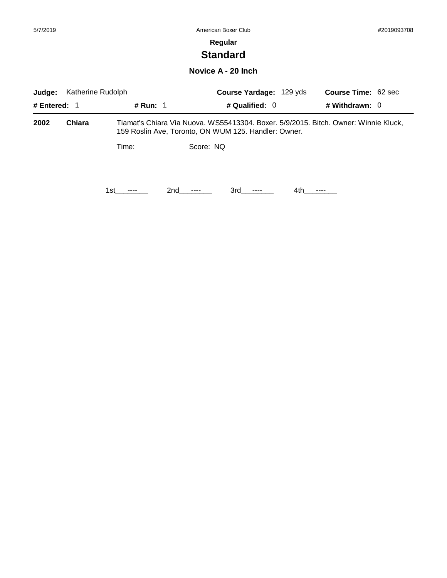# **Standard**

### **Novice A - 20 Inch**

| Katherine Rudolph<br>Judge: |        |                 |                 | Course Yardage: 129 yds                              |      | <b>Course Time: 62 sec</b>                                                          |  |
|-----------------------------|--------|-----------------|-----------------|------------------------------------------------------|------|-------------------------------------------------------------------------------------|--|
| # Entered: $1$              |        | <b># Run: 1</b> |                 | # Qualified: $0$                                     |      | # Withdrawn: $0$                                                                    |  |
| 2002                        | Chiara |                 |                 | 159 Roslin Ave, Toronto, ON WUM 125. Handler: Owner. |      | Tiamat's Chiara Via Nuova. WS55413304. Boxer. 5/9/2015. Bitch. Owner: Winnie Kluck, |  |
|                             |        | Time:           |                 | Score: NQ                                            |      |                                                                                     |  |
|                             |        | 1st l           | 2nd<br>$\cdots$ | 3rd -                                                | 4th. |                                                                                     |  |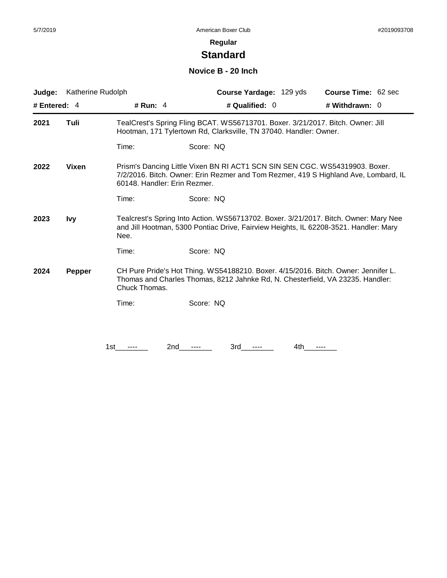# **Standard**

### **Novice B - 20 Inch**

| Judge:             | Katherine Rudolph |                              | Course Yardage: 129 yds                                                                                                                                                      |     | <b>Course Time: 62 sec</b> |  |
|--------------------|-------------------|------------------------------|------------------------------------------------------------------------------------------------------------------------------------------------------------------------------|-----|----------------------------|--|
| # Entered: 4       |                   | # Run: $4$                   | # Qualified: 0                                                                                                                                                               |     | # Withdrawn: 0             |  |
| 2021               | Tuli              |                              | TealCrest's Spring Fling BCAT. WS56713701. Boxer. 3/21/2017. Bitch. Owner: Jill<br>Hootman, 171 Tylertown Rd, Clarksville, TN 37040. Handler: Owner.                         |     |                            |  |
|                    |                   | Time:                        | Score: NQ                                                                                                                                                                    |     |                            |  |
| 2022               | <b>Vixen</b>      | 60148. Handler: Erin Rezmer. | Prism's Dancing Little Vixen BN RI ACT1 SCN SIN SEN CGC. WS54319903. Boxer.<br>7/2/2016. Bitch. Owner: Erin Rezmer and Tom Rezmer, 419 S Highland Ave, Lombard, IL           |     |                            |  |
|                    |                   | Time:                        | Score: NQ                                                                                                                                                                    |     |                            |  |
| 2023<br><b>Ivy</b> |                   | Nee.                         | Tealcrest's Spring Into Action. WS56713702. Boxer. 3/21/2017. Bitch. Owner: Mary Nee<br>and Jill Hootman, 5300 Pontiac Drive, Fairview Heights, IL 62208-3521. Handler: Mary |     |                            |  |
|                    |                   | Time:                        | Score: NQ                                                                                                                                                                    |     |                            |  |
| 2024<br>Pepper     |                   | Chuck Thomas.                | CH Pure Pride's Hot Thing. WS54188210. Boxer. 4/15/2016. Bitch. Owner: Jennifer L.<br>Thomas and Charles Thomas, 8212 Jahnke Rd, N. Chesterfield, VA 23235. Handler:         |     |                            |  |
|                    |                   | Time:                        | Score: NQ                                                                                                                                                                    |     |                            |  |
|                    |                   |                              |                                                                                                                                                                              |     |                            |  |
|                    | 1st               | 2nd                          | 3rd                                                                                                                                                                          | 4th |                            |  |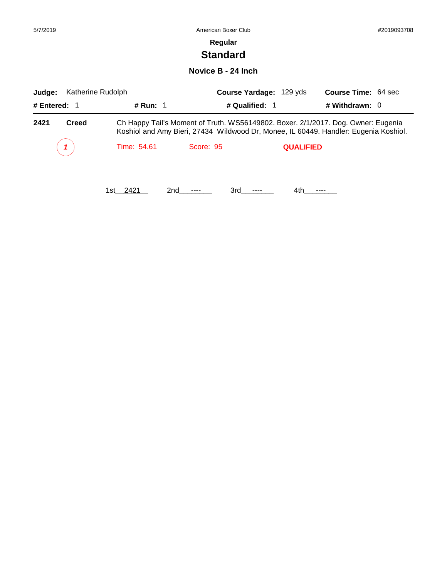# **Standard**

### **Novice B - 24 Inch**

| Judge:               | Katherine Rudolph |                | Course Yardage: 129 yds | <b>Course Time: 64 sec</b>                                                                                                                                                |
|----------------------|-------------------|----------------|-------------------------|---------------------------------------------------------------------------------------------------------------------------------------------------------------------------|
| # Entered: $1$       | # Run: $1$        | # Qualified: 1 |                         | # Withdrawn: $0$                                                                                                                                                          |
| 2421<br><b>Creed</b> |                   |                |                         | Ch Happy Tail's Moment of Truth. WS56149802. Boxer. 2/1/2017. Dog. Owner: Eugenia<br>Koshiol and Amy Bieri, 27434 Wildwood Dr, Monee, IL 60449. Handler: Eugenia Koshiol. |
|                      | Time: 54.61       | Score: 95      | <b>QUALIFIED</b>        |                                                                                                                                                                           |
|                      | 1st 2421<br>2nd   | 3rd            | 4th.                    |                                                                                                                                                                           |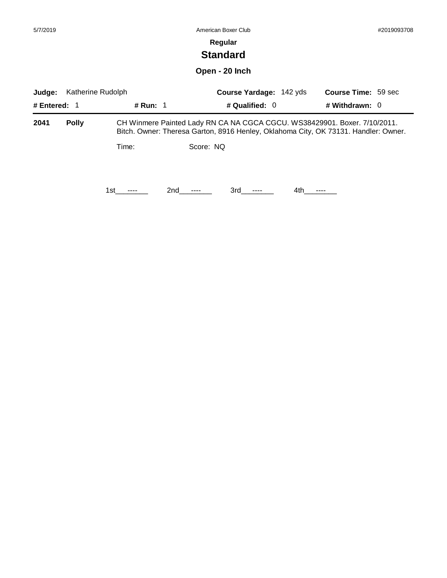| 5/7/2019 | American Boxer Club | #2019093708 |
|----------|---------------------|-------------|
|          | Regular             |             |
|          | <b>Standard</b>     |             |
|          | Open - 20 Inch      |             |

| Katherine Rudolph<br>Judge: |              |          |           | <b>Course Yardage: 142 yds</b> | <b>Course Time: 59 sec</b>                                                                                                                                       |
|-----------------------------|--------------|----------|-----------|--------------------------------|------------------------------------------------------------------------------------------------------------------------------------------------------------------|
| # Entered: $1$              |              | # Run: 1 |           | # Qualified: $0$               | # Withdrawn: $0$                                                                                                                                                 |
| 2041                        | <b>Polly</b> |          |           |                                | CH Winmere Painted Lady RN CA NA CGCA CGCU. WS38429901. Boxer. 7/10/2011.<br>Bitch. Owner: Theresa Garton, 8916 Henley, Oklahoma City, OK 73131. Handler: Owner. |
|                             |              | Time:    | Score: NQ |                                |                                                                                                                                                                  |
|                             |              | 1st      | 2nd       | 3rd a                          | 4th                                                                                                                                                              |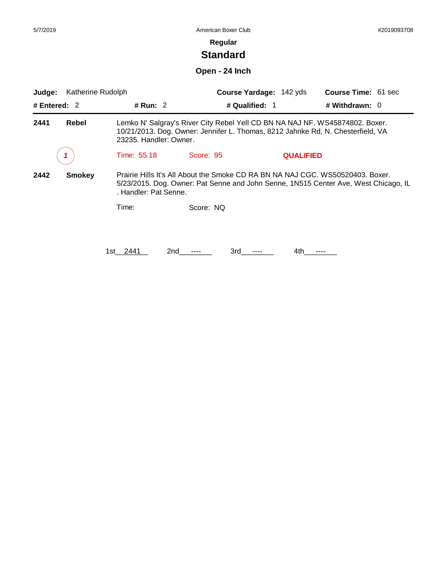# **Standard**

**Open - 24 Inch**

| Katherine Rudolph<br>Judge: |               |                                                                                                                                                                                                |                                                                                                                                                                 | Course Yardage: 142 yds | <b>Course Time: 61 sec</b> |  |
|-----------------------------|---------------|------------------------------------------------------------------------------------------------------------------------------------------------------------------------------------------------|-----------------------------------------------------------------------------------------------------------------------------------------------------------------|-------------------------|----------------------------|--|
| # Entered: $2$              |               | # Run: 2                                                                                                                                                                                       |                                                                                                                                                                 | # Qualified: 1          | # Withdrawn: $0$           |  |
| 2441                        | Rebel         | 23235. Handler: Owner.                                                                                                                                                                         | Lemko N' Salgray's River City Rebel Yell CD BN NA NAJ NF. WS45874802. Boxer.<br>10/21/2013. Dog. Owner: Jennifer L. Thomas, 8212 Jahnke Rd, N. Chesterfield, VA |                         |                            |  |
|                             |               | Time: 55.18                                                                                                                                                                                    | Score: 95                                                                                                                                                       | <b>QUALIFIED</b>        |                            |  |
| 2442                        | <b>Smokey</b> | Prairie Hills It's All About the Smoke CD RA BN NA NAJ CGC. WS50520403. Boxer.<br>5/23/2015. Dog. Owner: Pat Senne and John Senne, 1N515 Center Ave, West Chicago, IL<br>. Handler: Pat Senne. |                                                                                                                                                                 |                         |                            |  |
|                             |               | Time:                                                                                                                                                                                          | Score: NQ                                                                                                                                                       |                         |                            |  |
|                             |               | 2441<br>1st.                                                                                                                                                                                   | 2nd<br>3rd                                                                                                                                                      | 4th                     |                            |  |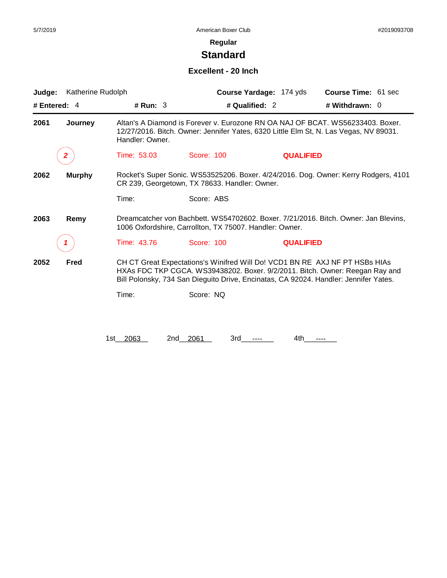# **Standard**

### **Excellent - 20 Inch**

| Judge:       | Katherine Rudolph |                      |                                                                             | Course Yardage: 174 yds | Course Time: 61 sec                                                                                                                                                     |
|--------------|-------------------|----------------------|-----------------------------------------------------------------------------|-------------------------|-------------------------------------------------------------------------------------------------------------------------------------------------------------------------|
| # Entered: 4 |                   | # Run: $3$           | # Qualified: 2                                                              |                         | # Withdrawn: 0                                                                                                                                                          |
| 2061         | Journey           | Handler: Owner.      |                                                                             |                         | Altan's A Diamond is Forever v. Eurozone RN OA NAJ OF BCAT. WS56233403. Boxer.<br>12/27/2016. Bitch. Owner: Jennifer Yates, 6320 Little Elm St, N. Las Vegas, NV 89031. |
|              | $\mathbf{2}$      | Time: 53.03          | Score: 100                                                                  | <b>QUALIFIED</b>        |                                                                                                                                                                         |
| 2062         | <b>Murphy</b>     |                      | CR 239, Georgetown, TX 78633. Handler: Owner.                               |                         | Rocket's Super Sonic. WS53525206. Boxer. 4/24/2016. Dog. Owner: Kerry Rodgers, 4101                                                                                     |
|              |                   | Time:                | Score: ABS                                                                  |                         |                                                                                                                                                                         |
| 2063         | Remy              |                      | 1006 Oxfordshire, Carrollton, TX 75007. Handler: Owner.                     |                         | Dreamcatcher von Bachbett. WS54702602. Boxer. 7/21/2016. Bitch. Owner: Jan Blevins,                                                                                     |
|              |                   | Time: 43.76          | Score: 100                                                                  | <b>QUALIFIED</b>        |                                                                                                                                                                         |
| 2052         | Fred              |                      | CH CT Great Expectations's Winifred Will Do! VCD1 BN RE AXJ NF PT HSBs HIAs |                         | HXAs FDC TKP CGCA. WS39438202. Boxer. 9/2/2011. Bitch. Owner: Reegan Ray and<br>Bill Polonsky, 734 San Dieguito Drive, Encinatas, CA 92024. Handler: Jennifer Yates.    |
|              |                   | Time:                | Score: NQ                                                                   |                         |                                                                                                                                                                         |
|              |                   |                      |                                                                             |                         |                                                                                                                                                                         |
|              |                   | 2063<br>2nd<br>1st l | 2061<br>3rd                                                                 | 4th.                    | ----                                                                                                                                                                    |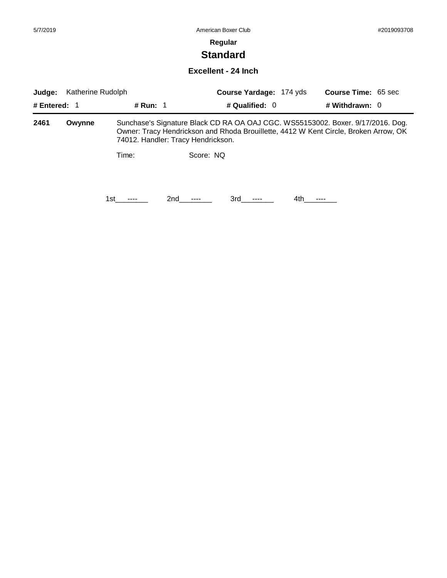# **Standard**

### **Excellent - 24 Inch**

| Katherine Rudolph<br>Judge: |        |          |                                    | <b>Course Yardage: 174 yds</b> |      | <b>Course Time: 65 sec</b>                                                                                                                                              |  |
|-----------------------------|--------|----------|------------------------------------|--------------------------------|------|-------------------------------------------------------------------------------------------------------------------------------------------------------------------------|--|
| # Entered: $1$              |        | # Run: 1 |                                    | # Qualified: $0$               |      | # Withdrawn: $0$                                                                                                                                                        |  |
| 2461                        | Owynne |          | 74012. Handler: Tracy Hendrickson. |                                |      | Sunchase's Signature Black CD RA OA OAJ CGC. WS55153002. Boxer. 9/17/2016. Dog.<br>Owner: Tracy Hendrickson and Rhoda Brouillette, 4412 W Kent Circle, Broken Arrow, OK |  |
|                             |        | Time:    | Score: NO                          |                                |      |                                                                                                                                                                         |  |
|                             |        | 1st      | 2nd                                | 3rd                            | 4th. |                                                                                                                                                                         |  |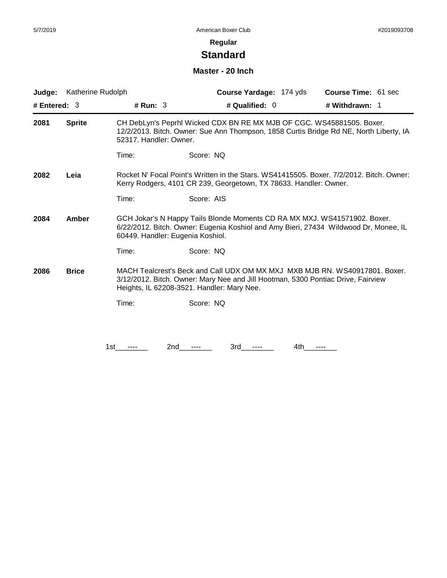# **Standard**

#### **Master - 20 Inch**

| Judge:               | Katherine Rudolph |                        | Course Yardage: 174 yds                                                                                                                                                                                       | Course Time: 61 sec |
|----------------------|-------------------|------------------------|---------------------------------------------------------------------------------------------------------------------------------------------------------------------------------------------------------------|---------------------|
| # Entered: 3         |                   | # Run: $3$             | # Qualified: $0$                                                                                                                                                                                              | # Withdrawn: 1      |
| 2081                 | <b>Sprite</b>     | 52317. Handler: Owner. | CH DebLyn's Peprhl Wicked CDX BN RE MX MJB OF CGC. WS45881505. Boxer.<br>12/2/2013. Bitch. Owner: Sue Ann Thompson, 1858 Curtis Bridge Rd NE, North Liberty, IA                                               |                     |
|                      |                   | Time:                  | Score: NQ                                                                                                                                                                                                     |                     |
| 2082                 | Leia              |                        | Rocket N' Focal Point's Written in the Stars. WS41415505. Boxer. 7/2/2012. Bitch. Owner:<br>Kerry Rodgers, 4101 CR 239, Georgetown, TX 78633. Handler: Owner.                                                 |                     |
|                      |                   | Time:                  | Score: AIS                                                                                                                                                                                                    |                     |
| Amber<br>2084        |                   |                        | GCH Jokar's N Happy Tails Blonde Moments CD RA MX MXJ. WS41571902. Boxer.<br>6/22/2012. Bitch. Owner: Eugenia Koshiol and Amy Bieri, 27434 Wildwood Dr, Monee, IL<br>60449. Handler: Eugenia Koshiol.         |                     |
|                      |                   | Time:                  | Score: NQ                                                                                                                                                                                                     |                     |
| 2086<br><b>Brice</b> |                   |                        | MACH Tealcrest's Beck and Call UDX OM MX MXJ MXB MJB RN. WS40917801. Boxer.<br>3/12/2012. Bitch. Owner: Mary Nee and Jill Hootman, 5300 Pontiac Drive, Fairview<br>Heights, IL 62208-3521. Handler: Mary Nee. |                     |
|                      |                   | Time:                  | Score: NQ                                                                                                                                                                                                     |                     |
|                      |                   |                        |                                                                                                                                                                                                               |                     |
|                      |                   | 1st                    | 3rd<br>4th<br>2nd                                                                                                                                                                                             |                     |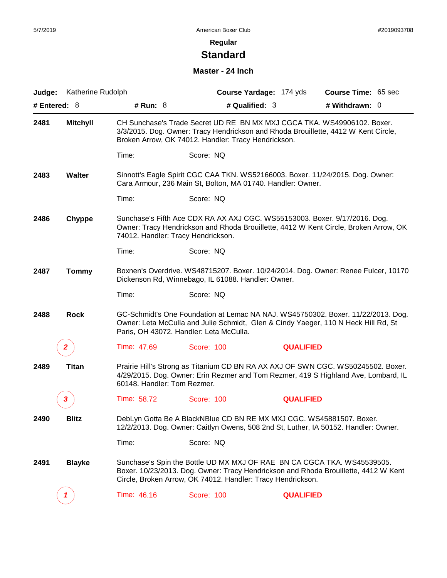# **Standard**

### **Master - 24 Inch**

| Judge:         | Katherine Rudolph |                                    |                                                                      | Course Yardage: 174 yds                                                                                                                                                | <b>Course Time: 65 sec</b>                                                                                                                                             |
|----------------|-------------------|------------------------------------|----------------------------------------------------------------------|------------------------------------------------------------------------------------------------------------------------------------------------------------------------|------------------------------------------------------------------------------------------------------------------------------------------------------------------------|
| # Entered: $8$ |                   | # Run: 8<br># Qualified: 3         |                                                                      |                                                                                                                                                                        | # Withdrawn: 0                                                                                                                                                         |
| 2481           | <b>Mitchyll</b>   |                                    | Broken Arrow, OK 74012. Handler: Tracy Hendrickson.                  |                                                                                                                                                                        | CH Sunchase's Trade Secret UD RE BN MX MXJ CGCA TKA. WS49906102. Boxer.<br>3/3/2015. Dog. Owner: Tracy Hendrickson and Rhoda Brouillette, 4412 W Kent Circle,          |
|                |                   | Time:                              | Score: NQ                                                            |                                                                                                                                                                        |                                                                                                                                                                        |
| 2483           | <b>Walter</b>     |                                    | Cara Armour, 236 Main St, Bolton, MA 01740. Handler: Owner.          |                                                                                                                                                                        | Sinnott's Eagle Spirit CGC CAA TKN. WS52166003. Boxer. 11/24/2015. Dog. Owner:                                                                                         |
|                |                   | Time:                              | Score: NQ                                                            |                                                                                                                                                                        |                                                                                                                                                                        |
| 2486           | Chyppe            | 74012. Handler: Tracy Hendrickson. |                                                                      |                                                                                                                                                                        | Sunchase's Fifth Ace CDX RA AX AXJ CGC. WS55153003. Boxer. 9/17/2016. Dog.<br>Owner: Tracy Hendrickson and Rhoda Brouillette, 4412 W Kent Circle, Broken Arrow, OK     |
|                |                   | Time:                              | Score: NQ                                                            |                                                                                                                                                                        |                                                                                                                                                                        |
| 2487           | <b>Tommy</b>      |                                    | Dickenson Rd, Winnebago, IL 61088. Handler: Owner.                   |                                                                                                                                                                        | Boxnen's Overdrive. WS48715207. Boxer. 10/24/2014. Dog. Owner: Renee Fulcer, 10170                                                                                     |
|                |                   | Time:                              | Score: NQ                                                            |                                                                                                                                                                        |                                                                                                                                                                        |
| 2488           | <b>Rock</b>       |                                    | Paris, OH 43072. Handler: Leta McCulla.                              |                                                                                                                                                                        | GC-Schmidt's One Foundation at Lemac NA NAJ. WS45750302. Boxer. 11/22/2013. Dog.<br>Owner: Leta McCulla and Julie Schmidt, Glen & Cindy Yaeger, 110 N Heck Hill Rd, St |
|                | 2                 | Time: 47.69                        | Score: 100                                                           | <b>QUALIFIED</b>                                                                                                                                                       |                                                                                                                                                                        |
| 2489           | Titan             | 60148. Handler: Tom Rezmer.        |                                                                      | Prairie Hill's Strong as Titanium CD BN RA AX AXJ OF SWN CGC. WS50245502. Boxer.<br>4/29/2015. Dog. Owner: Erin Rezmer and Tom Rezmer, 419 S Highland Ave, Lombard, IL |                                                                                                                                                                        |
|                |                   | Time: 58.72                        | Score: 100                                                           | <b>QUALIFIED</b>                                                                                                                                                       |                                                                                                                                                                        |
| 2490           | <b>Blitz</b>      |                                    | DebLyn Gotta Be A BlackNBlue CD BN RE MX MXJ CGC. WS45881507. Boxer. |                                                                                                                                                                        | 12/2/2013. Dog. Owner: Caitlyn Owens, 508 2nd St, Luther, IA 50152. Handler: Owner.                                                                                    |
|                |                   | Time:                              | Score: NQ                                                            |                                                                                                                                                                        |                                                                                                                                                                        |
| 2491           | <b>Blayke</b>     |                                    | Circle, Broken Arrow, OK 74012. Handler: Tracy Hendrickson.          |                                                                                                                                                                        | Sunchase's Spin the Bottle UD MX MXJ OF RAE BN CA CGCA TKA. WS45539505.<br>Boxer. 10/23/2013. Dog. Owner: Tracy Hendrickson and Rhoda Brouillette, 4412 W Kent         |
|                | 1                 | Time: 46.16                        | Score: 100                                                           | <b>QUALIFIED</b>                                                                                                                                                       |                                                                                                                                                                        |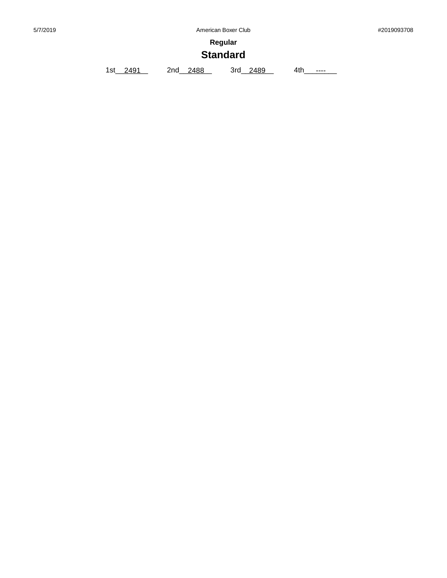**Regular**

# **Standard**

1st\_\_2491 2nd\_\_2488 3rd\_\_2489 4th\_\_\_\_\_\_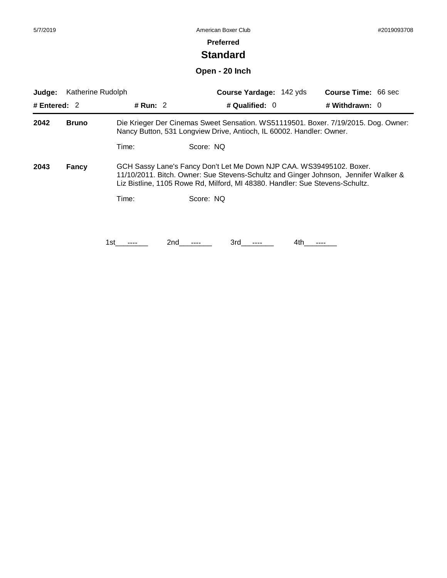# **Standard**

**Open - 20 Inch**

| Katherine Rudolph<br>Judge:<br># Run: 2<br># Entered: $2$                                                                                                                                                                                                    |              |       | Course Yardage: 142 yds                                                                                                                                    |      | <b>Course Time: 66 sec</b> |
|--------------------------------------------------------------------------------------------------------------------------------------------------------------------------------------------------------------------------------------------------------------|--------------|-------|------------------------------------------------------------------------------------------------------------------------------------------------------------|------|----------------------------|
|                                                                                                                                                                                                                                                              |              |       | # Qualified: $0$                                                                                                                                           |      | # Withdrawn: $0$           |
| 2042                                                                                                                                                                                                                                                         | <b>Bruno</b> |       | Die Krieger Der Cinemas Sweet Sensation. WS51119501. Boxer. 7/19/2015. Dog. Owner:<br>Nancy Button, 531 Longview Drive, Antioch, IL 60002. Handler: Owner. |      |                            |
|                                                                                                                                                                                                                                                              |              | Time: | Score: NO                                                                                                                                                  |      |                            |
| 2043<br>GCH Sassy Lane's Fancy Don't Let Me Down NJP CAA. WS39495102. Boxer.<br>Fancy<br>11/10/2011. Bitch. Owner: Sue Stevens-Schultz and Ginger Johnson, Jennifer Walker &<br>Liz Bistline, 1105 Rowe Rd, Milford, MI 48380. Handler: Sue Stevens-Schultz. |              |       |                                                                                                                                                            |      |                            |
|                                                                                                                                                                                                                                                              |              | Time: | Score: NO                                                                                                                                                  |      |                            |
|                                                                                                                                                                                                                                                              |              |       |                                                                                                                                                            |      |                            |
|                                                                                                                                                                                                                                                              |              | 1st   | 3rd<br>2nd                                                                                                                                                 | 4th. |                            |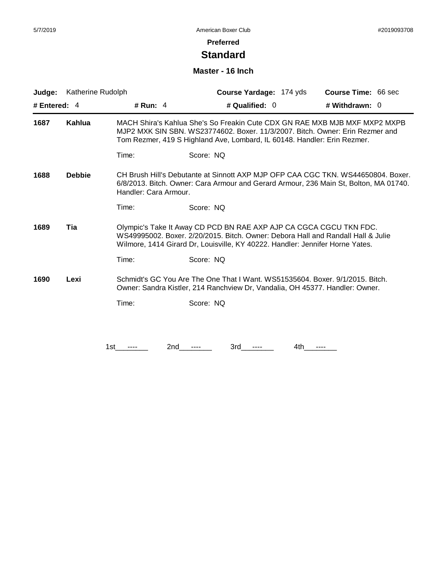## **Standard**

#### **Master - 16 Inch**

| Judge:                                                                                                                                                                        | Katherine Rudolph |                                                                                                                                                                                                                                         | Course Yardage: 174 yds                                                                                                                                                                                                                 | <b>Course Time: 66 sec</b> |
|-------------------------------------------------------------------------------------------------------------------------------------------------------------------------------|-------------------|-----------------------------------------------------------------------------------------------------------------------------------------------------------------------------------------------------------------------------------------|-----------------------------------------------------------------------------------------------------------------------------------------------------------------------------------------------------------------------------------------|----------------------------|
| # Entered: $4$                                                                                                                                                                |                   | # Run: $4$                                                                                                                                                                                                                              | # Qualified: 0                                                                                                                                                                                                                          | # Withdrawn: 0             |
| 1687                                                                                                                                                                          | Kahlua            |                                                                                                                                                                                                                                         | MACH Shira's Kahlua She's So Freakin Cute CDX GN RAE MXB MJB MXF MXP2 MXPB<br>MJP2 MXK SIN SBN, WS23774602, Boxer, 11/3/2007, Bitch, Owner: Erin Rezmer and<br>Tom Rezmer, 419 S Highland Ave, Lombard, IL 60148. Handler: Erin Rezmer. |                            |
|                                                                                                                                                                               |                   | Time:                                                                                                                                                                                                                                   | Score: NQ                                                                                                                                                                                                                               |                            |
| <b>Debbie</b><br>1688                                                                                                                                                         |                   | Handler: Cara Armour.                                                                                                                                                                                                                   | CH Brush Hill's Debutante at Sinnott AXP MJP OFP CAA CGC TKN, WS44650804, Boxer,<br>6/8/2013. Bitch. Owner: Cara Armour and Gerard Armour, 236 Main St, Bolton, MA 01740.                                                               |                            |
|                                                                                                                                                                               |                   | Time:                                                                                                                                                                                                                                   | Score: NQ                                                                                                                                                                                                                               |                            |
| Tia<br>1689                                                                                                                                                                   |                   | Olympic's Take It Away CD PCD BN RAE AXP AJP CA CGCA CGCU TKN FDC.<br>WS49995002, Boxer, 2/20/2015, Bitch, Owner: Debora Hall and Randall Hall & Julie<br>Wilmore, 1414 Girard Dr, Louisville, KY 40222. Handler: Jennifer Horne Yates. |                                                                                                                                                                                                                                         |                            |
|                                                                                                                                                                               |                   | Time:                                                                                                                                                                                                                                   | Score: NQ                                                                                                                                                                                                                               |                            |
| Schmidt's GC You Are The One That I Want. WS51535604. Boxer. 9/1/2015. Bitch.<br>1690<br>Lexi<br>Owner: Sandra Kistler, 214 Ranchview Dr, Vandalia, OH 45377. Handler: Owner. |                   |                                                                                                                                                                                                                                         |                                                                                                                                                                                                                                         |                            |
|                                                                                                                                                                               |                   | Time:                                                                                                                                                                                                                                   | Score: NQ                                                                                                                                                                                                                               |                            |
|                                                                                                                                                                               |                   |                                                                                                                                                                                                                                         |                                                                                                                                                                                                                                         |                            |
|                                                                                                                                                                               |                   | 1st<br>2nd                                                                                                                                                                                                                              | 3rd<br>4th                                                                                                                                                                                                                              |                            |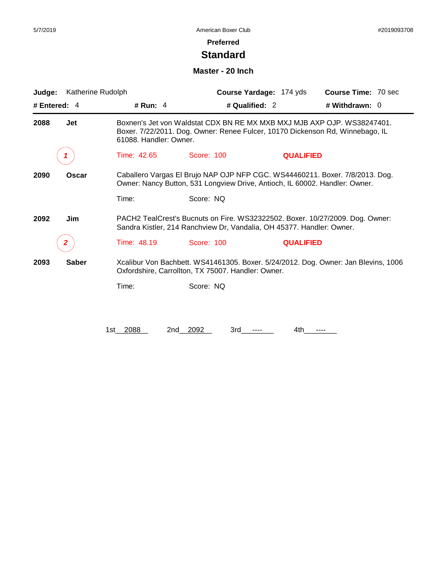## **Standard**

#### **Master - 20 Inch**

| Judge:       | Katherine Rudolph |                        |                                                                               | Course Yardage: 174 yds | <b>Course Time: 70 sec</b>                                                         |
|--------------|-------------------|------------------------|-------------------------------------------------------------------------------|-------------------------|------------------------------------------------------------------------------------|
| # Entered: 4 |                   | # Run: $4$             | # Qualified: 2                                                                |                         | # Withdrawn: $0$                                                                   |
| 2088         | <b>Jet</b>        | 61088. Handler: Owner. | Boxer. 7/22/2011. Dog. Owner: Renee Fulcer, 10170 Dickenson Rd, Winnebago, IL |                         | Boxnen's Jet von Waldstat CDX BN RE MX MXB MXJ MJB AXP OJP. WS38247401.            |
|              |                   | Time: 42.65            | Score: 100                                                                    | <b>QUALIFIED</b>        |                                                                                    |
| 2090         | Oscar             |                        | Owner: Nancy Button, 531 Longview Drive, Antioch, IL 60002. Handler: Owner.   |                         | Caballero Vargas El Brujo NAP OJP NFP CGC. WS44460211. Boxer. 7/8/2013. Dog.       |
|              |                   | Time:                  | Score: NQ                                                                     |                         |                                                                                    |
| 2092         | Jim               |                        | Sandra Kistler, 214 Ranchview Dr, Vandalia, OH 45377. Handler: Owner.         |                         | PACH2 TealCrest's Bucnuts on Fire. WS32322502. Boxer. 10/27/2009. Dog. Owner:      |
|              |                   | Time: 48.19            | Score: 100                                                                    | <b>QUALIFIED</b>        |                                                                                    |
| 2093         | <b>Saber</b>      |                        | Oxfordshire, Carrollton, TX 75007. Handler: Owner.                            |                         | Xcalibur Von Bachbett. WS41461305. Boxer. 5/24/2012. Dog. Owner: Jan Blevins, 1006 |
|              |                   | Time:                  | Score: NQ                                                                     |                         |                                                                                    |
|              |                   |                        |                                                                               |                         |                                                                                    |
|              |                   | 1st 2088<br>2nd        | 2092<br>3rd                                                                   | 4th.                    |                                                                                    |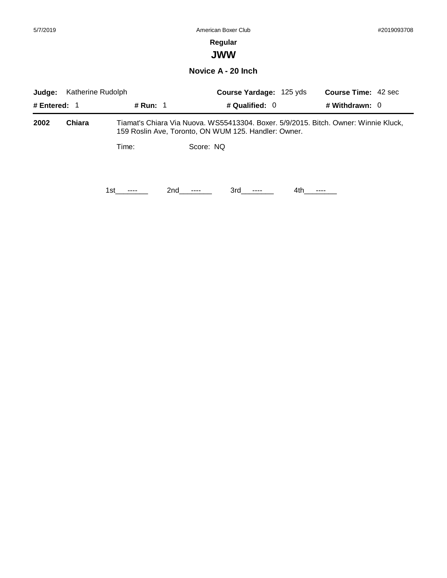# **JWW**

#### **Novice A - 20 Inch**

| Katherine Rudolph<br>Judge: |        |          |                 | <b>Course Yardage: 125 yds</b>                       |     | <b>Course Time: 42 sec</b>                                                          |  |
|-----------------------------|--------|----------|-----------------|------------------------------------------------------|-----|-------------------------------------------------------------------------------------|--|
| # Entered: $1$              |        | # Run: 1 |                 | # Qualified: $0$                                     |     | # Withdrawn: $0$                                                                    |  |
| 2002                        | Chiara |          |                 | 159 Roslin Ave, Toronto, ON WUM 125. Handler: Owner. |     | Tiamat's Chiara Via Nuova. WS55413304. Boxer. 5/9/2015. Bitch. Owner: Winnie Kluck, |  |
|                             |        | Time:    | Score: NQ       |                                                      |     |                                                                                     |  |
|                             |        | 1st l    | 2nd<br>$\cdots$ | 3rd -<br>$\cdots$                                    | 4th |                                                                                     |  |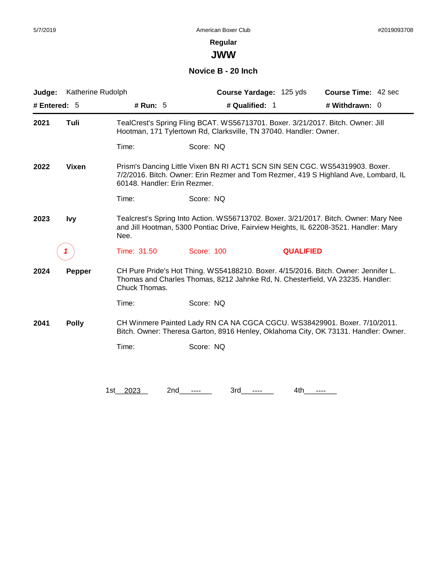**JWW**

### **Novice B - 20 Inch**

| Judge:         | Katherine Rudolph |                              | Course Yardage: 125 yds                                                                                                                                              | <b>Course Time: 42 sec</b>                                                           |
|----------------|-------------------|------------------------------|----------------------------------------------------------------------------------------------------------------------------------------------------------------------|--------------------------------------------------------------------------------------|
| # Entered: $5$ |                   | # Run: 5                     | # Qualified: 1                                                                                                                                                       | # Withdrawn: 0                                                                       |
| 2021           | Tuli              |                              | TealCrest's Spring Fling BCAT. WS56713701. Boxer. 3/21/2017. Bitch. Owner: Jill<br>Hootman, 171 Tylertown Rd, Clarksville, TN 37040. Handler: Owner.                 |                                                                                      |
|                |                   | Time:                        | Score: NQ                                                                                                                                                            |                                                                                      |
| 2022           | <b>Vixen</b>      | 60148. Handler: Erin Rezmer. | Prism's Dancing Little Vixen BN RI ACT1 SCN SIN SEN CGC. WS54319903. Boxer.                                                                                          | 7/2/2016. Bitch. Owner: Erin Rezmer and Tom Rezmer, 419 S Highland Ave, Lombard, IL  |
|                |                   | Time:                        | Score: NQ                                                                                                                                                            |                                                                                      |
| 2023           | <b>Ivy</b>        | Nee.                         | and Jill Hootman, 5300 Pontiac Drive, Fairview Heights, IL 62208-3521. Handler: Mary                                                                                 | Tealcrest's Spring Into Action. WS56713702. Boxer. 3/21/2017. Bitch. Owner: Mary Nee |
|                |                   | Time: 31.50                  | Score: 100                                                                                                                                                           | <b>QUALIFIED</b>                                                                     |
| 2024           | <b>Pepper</b>     | Chuck Thomas.                | CH Pure Pride's Hot Thing. WS54188210. Boxer. 4/15/2016. Bitch. Owner: Jennifer L.<br>Thomas and Charles Thomas, 8212 Jahnke Rd, N. Chesterfield, VA 23235. Handler: |                                                                                      |
|                |                   | Time:                        | Score: NQ                                                                                                                                                            |                                                                                      |
| 2041           | <b>Polly</b>      |                              | CH Winmere Painted Lady RN CA NA CGCA CGCU. WS38429901. Boxer. 7/10/2011.                                                                                            | Bitch. Owner: Theresa Garton, 8916 Henley, Oklahoma City, OK 73131. Handler: Owner.  |
|                |                   | Time:                        | Score: NQ                                                                                                                                                            |                                                                                      |
|                |                   |                              |                                                                                                                                                                      |                                                                                      |
|                |                   | 1st__2023<br>2nd             | 3rd<br>----<br>----                                                                                                                                                  | 4th<br>----                                                                          |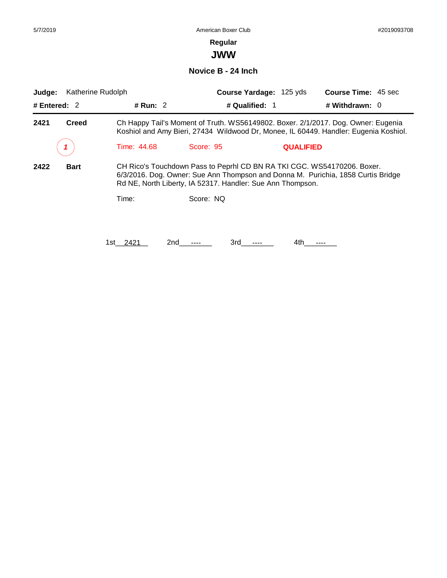**JWW**

**Novice B - 24 Inch**

| Judge:                                                                                                                                                                                                                                           |              | Katherine Rudolph   |                | Course Yardage: 125 yds                                                                                                                                                   | <b>Course Time: 45 sec</b> |  |
|--------------------------------------------------------------------------------------------------------------------------------------------------------------------------------------------------------------------------------------------------|--------------|---------------------|----------------|---------------------------------------------------------------------------------------------------------------------------------------------------------------------------|----------------------------|--|
| # Entered: $2$                                                                                                                                                                                                                                   |              | # Run: $2$          | # Qualified: 1 |                                                                                                                                                                           | # Withdrawn: $0$           |  |
| 2421                                                                                                                                                                                                                                             | <b>Creed</b> |                     |                | Ch Happy Tail's Moment of Truth. WS56149802. Boxer. 2/1/2017. Dog. Owner: Eugenia<br>Koshiol and Amy Bieri, 27434 Wildwood Dr, Monee, IL 60449. Handler: Eugenia Koshiol. |                            |  |
|                                                                                                                                                                                                                                                  |              | Time: 44.68         | Score: 95      | <b>QUALIFIED</b>                                                                                                                                                          |                            |  |
| 2422<br>CH Rico's Touchdown Pass to Peprhl CD BN RA TKI CGC. WS54170206. Boxer.<br><b>Bart</b><br>6/3/2016. Dog. Owner: Sue Ann Thompson and Donna M. Purichia, 1858 Curtis Bridge<br>Rd NE, North Liberty, IA 52317. Handler: Sue Ann Thompson. |              |                     |                |                                                                                                                                                                           |                            |  |
|                                                                                                                                                                                                                                                  |              | Time:               | Score: NQ      |                                                                                                                                                                           |                            |  |
|                                                                                                                                                                                                                                                  |              |                     |                |                                                                                                                                                                           |                            |  |
|                                                                                                                                                                                                                                                  |              | 2nd<br>2421<br>1st. | 3rd            | 4th.                                                                                                                                                                      |                            |  |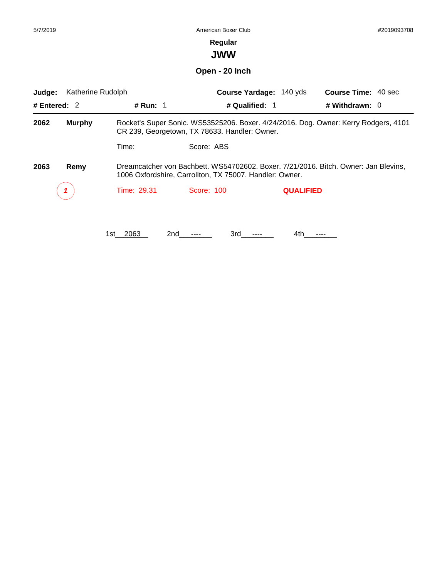# **Regular**

**JWW**

**Open - 20 Inch**

| Katherine Rudolph<br>Judge:<br># Entered: $2$ |               |             |                                                                                                                                      | Course Yardage: 140 yds | <b>Course Time: 40 sec</b>                                                          |  |  |  |
|-----------------------------------------------|---------------|-------------|--------------------------------------------------------------------------------------------------------------------------------------|-------------------------|-------------------------------------------------------------------------------------|--|--|--|
|                                               |               | # Run: 1    | # Qualified: 1                                                                                                                       |                         | # Withdrawn: $0$                                                                    |  |  |  |
| 2062                                          | <b>Murphy</b> |             | Rocket's Super Sonic. WS53525206. Boxer. 4/24/2016. Dog. Owner: Kerry Rodgers, 4101<br>CR 239, Georgetown, TX 78633. Handler: Owner. |                         |                                                                                     |  |  |  |
|                                               |               | Time:       | Score: ABS                                                                                                                           |                         |                                                                                     |  |  |  |
| 2063                                          | Remy          |             | 1006 Oxfordshire, Carrollton, TX 75007. Handler: Owner.                                                                              |                         | Dreamcatcher von Bachbett. WS54702602. Boxer. 7/21/2016. Bitch. Owner: Jan Blevins. |  |  |  |
|                                               |               | Time: 29.31 | Score: 100                                                                                                                           | <b>QUALIFIED</b>        |                                                                                     |  |  |  |
|                                               |               |             |                                                                                                                                      |                         |                                                                                     |  |  |  |
|                                               |               | 1st 2063    | 3rd<br>2nd                                                                                                                           | 4th.                    |                                                                                     |  |  |  |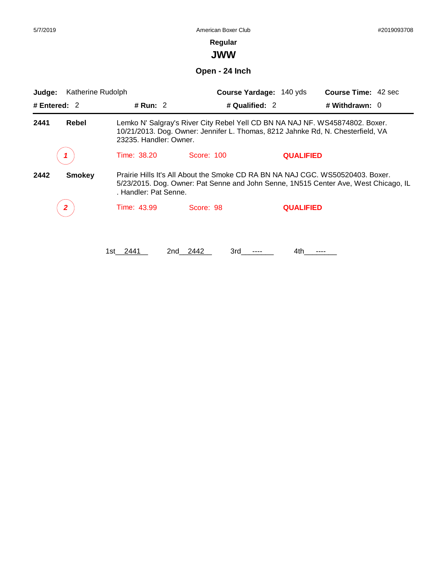**JWW**

**Open - 24 Inch**

| Judge:         | Katherine Rudolph |                        |                                                                                                                                                                 | Course Yardage: 140 yds | <b>Course Time: 42 sec</b>                                                                                                                                            |
|----------------|-------------------|------------------------|-----------------------------------------------------------------------------------------------------------------------------------------------------------------|-------------------------|-----------------------------------------------------------------------------------------------------------------------------------------------------------------------|
| # Entered: $2$ |                   | # Run: $2$             |                                                                                                                                                                 | # Qualified: $2$        | # Withdrawn: $0$                                                                                                                                                      |
| 2441           | Rebel             | 23235. Handler: Owner. | Lemko N' Salgray's River City Rebel Yell CD BN NA NAJ NF. WS45874802. Boxer.<br>10/21/2013. Dog. Owner: Jennifer L. Thomas, 8212 Jahnke Rd, N. Chesterfield, VA |                         |                                                                                                                                                                       |
|                |                   | Time: 38.20            | Score: 100                                                                                                                                                      | <b>QUALIFIED</b>        |                                                                                                                                                                       |
| 2442           | <b>Smokey</b>     | . Handler: Pat Senne.  |                                                                                                                                                                 |                         | Prairie Hills It's All About the Smoke CD RA BN NA NAJ CGC. WS50520403. Boxer.<br>5/23/2015. Dog. Owner: Pat Senne and John Senne, 1N515 Center Ave, West Chicago, IL |
|                | 2                 | <b>Time: 43.99</b>     | Score: 98                                                                                                                                                       | <b>QUALIFIED</b>        |                                                                                                                                                                       |
|                |                   | 2441<br>1st l          | 3rd<br>2nd -<br>2442                                                                                                                                            | 4th                     |                                                                                                                                                                       |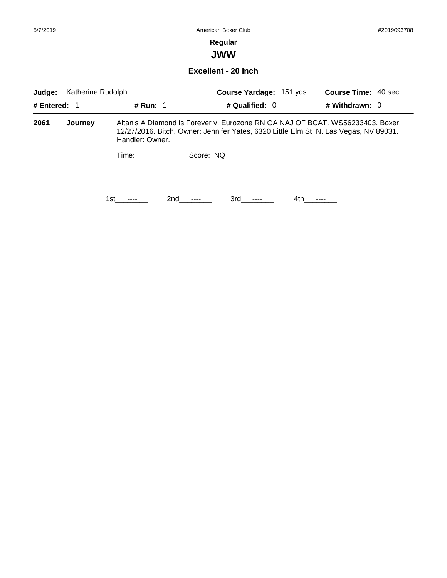**JWW**

#### **Excellent - 20 Inch**

| Katherine Rudolph<br>Judge: |         |                 |           | <b>Course Yardage: 151 yds</b>                                                                                                                                          |      | <b>Course Time: 40 sec</b> |  |
|-----------------------------|---------|-----------------|-----------|-------------------------------------------------------------------------------------------------------------------------------------------------------------------------|------|----------------------------|--|
| # Entered: $1$              |         | # Run: $1$      |           | # Qualified: $0$                                                                                                                                                        |      | # Withdrawn: $0$           |  |
| 2061                        | Journey | Handler: Owner. |           | Altan's A Diamond is Forever v. Eurozone RN OA NAJ OF BCAT, WS56233403, Boxer,<br>12/27/2016. Bitch. Owner: Jennifer Yates, 6320 Little Elm St, N. Las Vegas, NV 89031. |      |                            |  |
|                             |         | Time:           | Score: NO |                                                                                                                                                                         |      |                            |  |
|                             |         | 1st.            | 2nd       | 3rd                                                                                                                                                                     | 4th. |                            |  |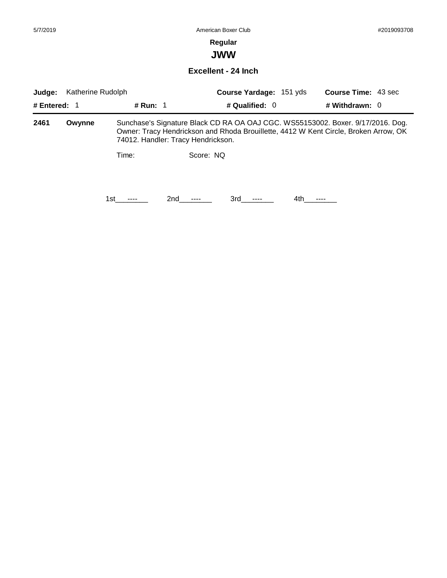**JWW**

**Excellent - 24 Inch**

| Katherine Rudolph<br>Judge: |        |            |                                    | <b>Course Yardage: 151 yds</b> |      | <b>Course Time: 43 sec</b>                                                                                                                                              |
|-----------------------------|--------|------------|------------------------------------|--------------------------------|------|-------------------------------------------------------------------------------------------------------------------------------------------------------------------------|
| # Entered: $1$              |        | # Run: $1$ |                                    | # Qualified: $0$               |      | # Withdrawn: $0$                                                                                                                                                        |
| 2461                        | Owynne |            | 74012. Handler: Tracy Hendrickson. |                                |      | Sunchase's Signature Black CD RA OA OAJ CGC. WS55153002. Boxer. 9/17/2016. Dog.<br>Owner: Tracy Hendrickson and Rhoda Brouillette, 4412 W Kent Circle, Broken Arrow, OK |
|                             |        | Time:      | Score: NQ                          |                                |      |                                                                                                                                                                         |
|                             |        | 1st        | 2nd                                | 3rd                            | 4th. |                                                                                                                                                                         |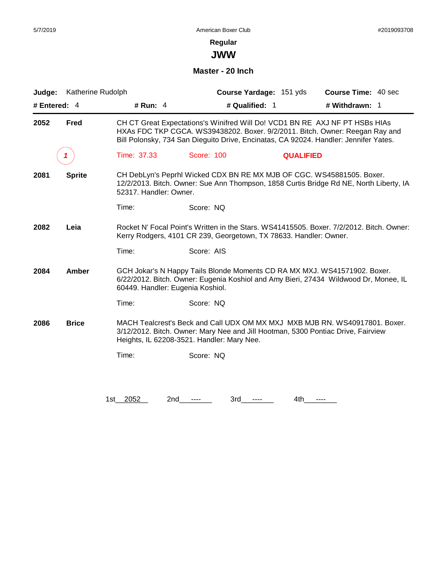**JWW**

#### **Master - 20 Inch**

| Judge:         | Katherine Rudolph |                                  | Course Yardage: 151 yds                                                                                                                                                                                                                             |                  | <b>Course Time: 40 sec</b> |  |  |  |
|----------------|-------------------|----------------------------------|-----------------------------------------------------------------------------------------------------------------------------------------------------------------------------------------------------------------------------------------------------|------------------|----------------------------|--|--|--|
| # Entered: $4$ |                   | # Run: $4$                       | # Qualified: 1                                                                                                                                                                                                                                      |                  | # Withdrawn: 1             |  |  |  |
| 2052           | Fred              |                                  | CH CT Great Expectations's Winifred Will Do! VCD1 BN RE AXJ NF PT HSBs HIAs<br>HXAs FDC TKP CGCA. WS39438202. Boxer. 9/2/2011. Bitch. Owner: Reegan Ray and<br>Bill Polonsky, 734 San Dieguito Drive, Encinatas, CA 92024. Handler: Jennifer Yates. |                  |                            |  |  |  |
|                | 1                 | Time: 37.33                      | Score: 100                                                                                                                                                                                                                                          | <b>QUALIFIED</b> |                            |  |  |  |
| 2081           | <b>Sprite</b>     | 52317. Handler: Owner.           | CH DebLyn's Peprhl Wicked CDX BN RE MX MJB OF CGC. WS45881505. Boxer.<br>12/2/2013. Bitch. Owner: Sue Ann Thompson, 1858 Curtis Bridge Rd NE, North Liberty, IA                                                                                     |                  |                            |  |  |  |
|                |                   | Time:                            | Score: NQ                                                                                                                                                                                                                                           |                  |                            |  |  |  |
| 2082           | Leia              |                                  | Rocket N' Focal Point's Written in the Stars. WS41415505. Boxer. 7/2/2012. Bitch. Owner:<br>Kerry Rodgers, 4101 CR 239, Georgetown, TX 78633. Handler: Owner.                                                                                       |                  |                            |  |  |  |
|                |                   | Time:                            | Score: AIS                                                                                                                                                                                                                                          |                  |                            |  |  |  |
| 2084           | Amber             | 60449. Handler: Eugenia Koshiol. | GCH Jokar's N Happy Tails Blonde Moments CD RA MX MXJ. WS41571902. Boxer.<br>6/22/2012. Bitch. Owner: Eugenia Koshiol and Amy Bieri, 27434 Wildwood Dr, Monee, IL                                                                                   |                  |                            |  |  |  |
|                |                   | Time:                            | Score: NQ                                                                                                                                                                                                                                           |                  |                            |  |  |  |
| 2086           | <b>Brice</b>      |                                  | MACH Tealcrest's Beck and Call UDX OM MX MXJ MXB MJB RN. WS40917801. Boxer.<br>3/12/2012. Bitch. Owner: Mary Nee and Jill Hootman, 5300 Pontiac Drive, Fairview<br>Heights, IL 62208-3521. Handler: Mary Nee.                                       |                  |                            |  |  |  |
|                |                   | Time:                            | Score: NQ                                                                                                                                                                                                                                           |                  |                            |  |  |  |
|                |                   |                                  |                                                                                                                                                                                                                                                     |                  |                            |  |  |  |
|                |                   | 2052<br>2nd<br>1st l             | 3rd<br>----                                                                                                                                                                                                                                         | 4th              | ----                       |  |  |  |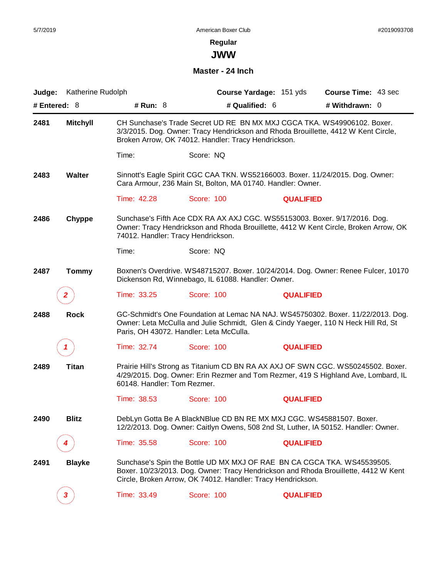**JWW**

#### **Master - 24 Inch**

| Judge: | Katherine Rudolph |                                    |                                                                      | Course Yardage: 151 yds | <b>Course Time: 43 sec</b>                                                                                                                                             |
|--------|-------------------|------------------------------------|----------------------------------------------------------------------|-------------------------|------------------------------------------------------------------------------------------------------------------------------------------------------------------------|
|        | # Entered: 8      | # Run: 8                           | # Qualified: 6                                                       |                         | # Withdrawn: 0                                                                                                                                                         |
| 2481   | <b>Mitchyll</b>   |                                    | Broken Arrow, OK 74012. Handler: Tracy Hendrickson.                  |                         | CH Sunchase's Trade Secret UD RE BN MX MXJ CGCA TKA. WS49906102. Boxer.<br>3/3/2015. Dog. Owner: Tracy Hendrickson and Rhoda Brouillette, 4412 W Kent Circle,          |
|        |                   | Time:                              | Score: NQ                                                            |                         |                                                                                                                                                                        |
| 2483   | Walter            |                                    | Cara Armour, 236 Main St, Bolton, MA 01740. Handler: Owner.          |                         | Sinnott's Eagle Spirit CGC CAA TKN. WS52166003. Boxer. 11/24/2015. Dog. Owner:                                                                                         |
|        |                   | Time: 42.28                        | Score: 100                                                           | <b>QUALIFIED</b>        |                                                                                                                                                                        |
| 2486   | Chyppe            | 74012. Handler: Tracy Hendrickson. |                                                                      |                         | Sunchase's Fifth Ace CDX RA AX AXJ CGC. WS55153003. Boxer. 9/17/2016. Dog.<br>Owner: Tracy Hendrickson and Rhoda Brouillette, 4412 W Kent Circle, Broken Arrow, OK     |
|        |                   | Time:                              | Score: NQ                                                            |                         |                                                                                                                                                                        |
| 2487   | <b>Tommy</b>      |                                    | Dickenson Rd, Winnebago, IL 61088. Handler: Owner.                   |                         | Boxnen's Overdrive. WS48715207. Boxer. 10/24/2014. Dog. Owner: Renee Fulcer, 10170                                                                                     |
|        | $\mathbf{2}$      | Time: 33.25                        | Score: 100                                                           | <b>QUALIFIED</b>        |                                                                                                                                                                        |
| 2488   | <b>Rock</b>       |                                    | Paris, OH 43072. Handler: Leta McCulla.                              |                         | GC-Schmidt's One Foundation at Lemac NA NAJ. WS45750302. Boxer. 11/22/2013. Dog.<br>Owner: Leta McCulla and Julie Schmidt, Glen & Cindy Yaeger, 110 N Heck Hill Rd, St |
|        | 1                 | Time: 32.74                        | Score: 100                                                           | <b>QUALIFIED</b>        |                                                                                                                                                                        |
| 2489   | <b>Titan</b>      | 60148. Handler: Tom Rezmer.        |                                                                      |                         | Prairie Hill's Strong as Titanium CD BN RA AX AXJ OF SWN CGC. WS50245502. Boxer.<br>4/29/2015. Dog. Owner: Erin Rezmer and Tom Rezmer, 419 S Highland Ave, Lombard, IL |
|        |                   | Time: 38.53                        | Score: 100                                                           | <b>QUALIFIED</b>        |                                                                                                                                                                        |
| 2490   | <b>Blitz</b>      |                                    | DebLyn Gotta Be A BlackNBlue CD BN RE MX MXJ CGC. WS45881507. Boxer. |                         | 12/2/2013. Dog. Owner: Caitlyn Owens, 508 2nd St, Luther, IA 50152. Handler: Owner.                                                                                    |
|        |                   | Time: 35.58                        | Score: 100                                                           | <b>QUALIFIED</b>        |                                                                                                                                                                        |
| 2491   | <b>Blayke</b>     |                                    | Circle, Broken Arrow, OK 74012. Handler: Tracy Hendrickson.          |                         | Sunchase's Spin the Bottle UD MX MXJ OF RAE BN CA CGCA TKA. WS45539505.<br>Boxer. 10/23/2013. Dog. Owner: Tracy Hendrickson and Rhoda Brouillette, 4412 W Kent         |
|        | 3                 | Time: 33.49                        | <b>Score: 100</b>                                                    | <b>QUALIFIED</b>        |                                                                                                                                                                        |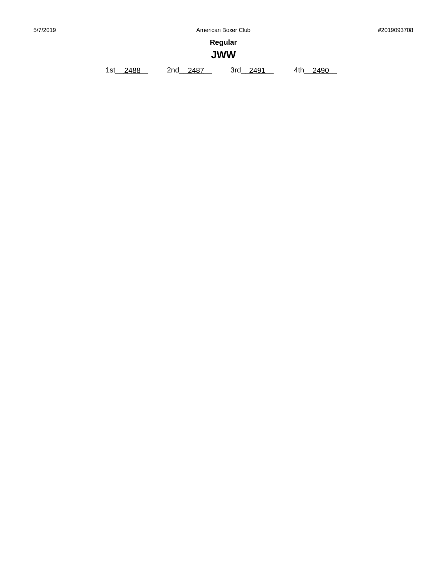**Regular**

# **JWW**

1st\_\_\_\_\_\_\_\_ 2488 2nd\_\_\_\_\_\_\_\_ 2487 3rd\_\_\_\_\_\_\_\_ 2491 4th\_\_\_\_\_\_\_\_ 2490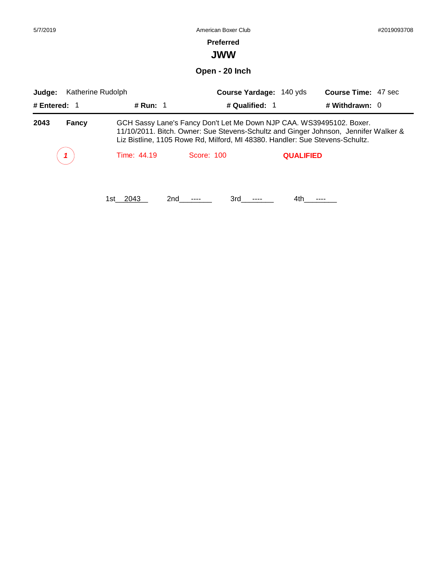| 5/7/2019               |                                                                                                                                                                                                                                                             | American Boxer Club |            |                                           |                  |                                              | #2019093708 |  |
|------------------------|-------------------------------------------------------------------------------------------------------------------------------------------------------------------------------------------------------------------------------------------------------------|---------------------|------------|-------------------------------------------|------------------|----------------------------------------------|-------------|--|
|                        |                                                                                                                                                                                                                                                             |                     |            | <b>Preferred</b><br><b>JWW</b>            |                  |                                              |             |  |
|                        |                                                                                                                                                                                                                                                             |                     |            | Open - 20 Inch                            |                  |                                              |             |  |
| Judge:<br># Entered: 1 | Katherine Rudolph                                                                                                                                                                                                                                           | # Run: $1$          |            | Course Yardage: 140 yds<br># Qualified: 1 |                  | <b>Course Time: 47 sec</b><br># Withdrawn: 0 |             |  |
| 2043                   | GCH Sassy Lane's Fancy Don't Let Me Down NJP CAA. WS39495102. Boxer.<br><b>Fancy</b><br>11/10/2011. Bitch. Owner: Sue Stevens-Schultz and Ginger Johnson, Jennifer Walker &<br>Liz Bistline, 1105 Rowe Rd, Milford, MI 48380. Handler: Sue Stevens-Schultz. |                     |            |                                           |                  |                                              |             |  |
|                        |                                                                                                                                                                                                                                                             | Time: 44.19         | Score: 100 |                                           | <b>QUALIFIED</b> |                                              |             |  |
|                        |                                                                                                                                                                                                                                                             | 1st__2043           | 2nd        | 3rd                                       | 4th              |                                              |             |  |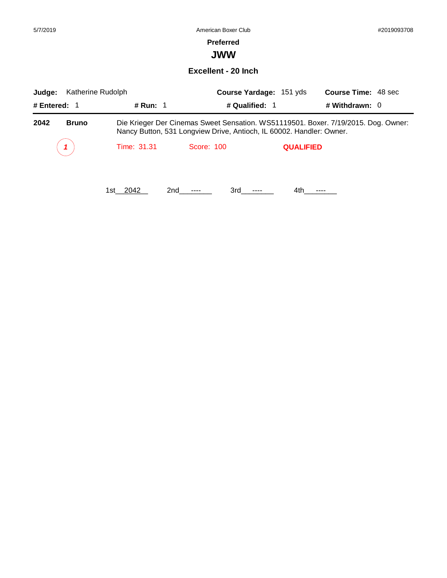### **Preferred**

**JWW**

**Excellent - 20 Inch**

| Katherine Rudolph<br>Judge: |                   | Course Yardage: 151 yds                                              |                  | <b>Course Time: 48 sec</b>                                                         |  |
|-----------------------------|-------------------|----------------------------------------------------------------------|------------------|------------------------------------------------------------------------------------|--|
| # Entered: 1                | # Run: $\sqrt{1}$ | # Qualified: 1                                                       |                  | # Withdrawn: $0$                                                                   |  |
| 2042<br><b>Bruno</b>        |                   | Nancy Button, 531 Longview Drive, Antioch, IL 60002. Handler: Owner. |                  | Die Krieger Der Cinemas Sweet Sensation. WS51119501. Boxer. 7/19/2015. Dog. Owner: |  |
|                             | Time: 31.31       | Score: 100                                                           | <b>QUALIFIED</b> |                                                                                    |  |
|                             | 1st 2042<br>2nd   | 3rd                                                                  | 4th.             |                                                                                    |  |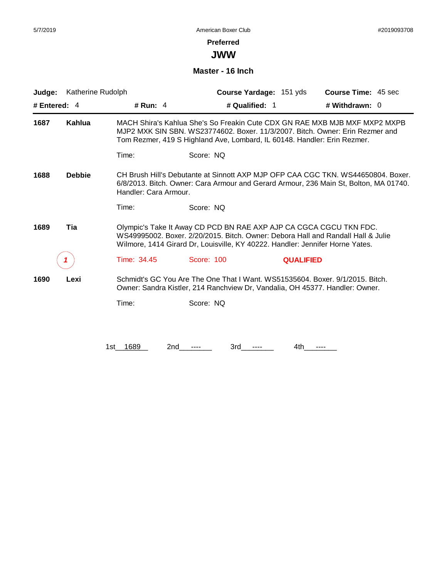**JWW**

#### **Master - 16 Inch**

| Judge:       | Katherine Rudolph |                       |                                                                                                                                                               | Course Yardage: 151 yds | <b>Course Time: 45 sec</b>                                                                                                                                                |
|--------------|-------------------|-----------------------|---------------------------------------------------------------------------------------------------------------------------------------------------------------|-------------------------|---------------------------------------------------------------------------------------------------------------------------------------------------------------------------|
| # Entered: 4 |                   | # Run: $4$            | # Qualified: 1                                                                                                                                                |                         | # Withdrawn: 0                                                                                                                                                            |
| 1687         | <b>Kahlua</b>     |                       | Tom Rezmer, 419 S Highland Ave, Lombard, IL 60148. Handler: Erin Rezmer.                                                                                      |                         | MACH Shira's Kahlua She's So Freakin Cute CDX GN RAE MXB MJB MXF MXP2 MXPB<br>MJP2 MXK SIN SBN. WS23774602. Boxer. 11/3/2007. Bitch. Owner: Erin Rezmer and               |
|              |                   | Time:                 | Score: NQ                                                                                                                                                     |                         |                                                                                                                                                                           |
| 1688         | <b>Debbie</b>     | Handler: Cara Armour. |                                                                                                                                                               |                         | CH Brush Hill's Debutante at Sinnott AXP MJP OFP CAA CGC TKN, WS44650804, Boxer,<br>6/8/2013. Bitch. Owner: Cara Armour and Gerard Armour, 236 Main St, Bolton, MA 01740. |
|              |                   | Time:                 | Score: NO                                                                                                                                                     |                         |                                                                                                                                                                           |
| 1689         | Tia               |                       | Olympic's Take It Away CD PCD BN RAE AXP AJP CA CGCA CGCU TKN FDC.<br>Wilmore, 1414 Girard Dr, Louisville, KY 40222. Handler: Jennifer Horne Yates.           |                         | WS49995002, Boxer, 2/20/2015, Bitch, Owner: Debora Hall and Randall Hall & Julie                                                                                          |
|              |                   | Time: 34.45           | Score: 100                                                                                                                                                    | <b>QUALIFIED</b>        |                                                                                                                                                                           |
| 1690         | Lexi              |                       | Schmidt's GC You Are The One That I Want. WS51535604. Boxer. 9/1/2015. Bitch.<br>Owner: Sandra Kistler, 214 Ranchview Dr, Vandalia, OH 45377. Handler: Owner. |                         |                                                                                                                                                                           |
|              |                   | Time:                 | Score: NQ                                                                                                                                                     |                         |                                                                                                                                                                           |
|              |                   |                       |                                                                                                                                                               |                         |                                                                                                                                                                           |
|              |                   | 1st 1689              | 2nd<br>3rd                                                                                                                                                    | 4th                     |                                                                                                                                                                           |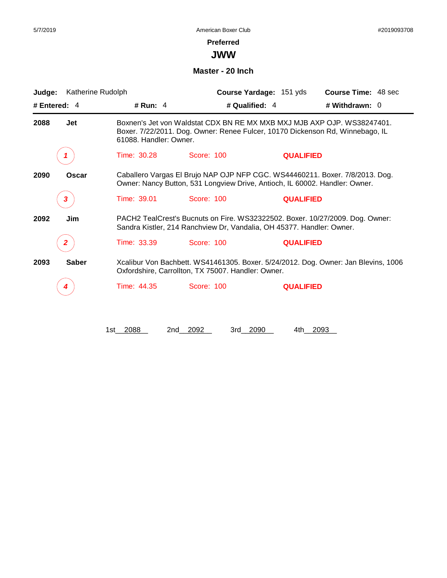**JWW**

#### **Master - 20 Inch**

| Judge:               | Katherine Rudolph      |                                                                               | Course Yardage: 151 yds | <b>Course Time: 48 sec</b>                                                         |
|----------------------|------------------------|-------------------------------------------------------------------------------|-------------------------|------------------------------------------------------------------------------------|
| # Entered: 4         | # Run: 4               | # Qualified: 4                                                                |                         | # Withdrawn: 0                                                                     |
| 2088<br>Jet          | 61088. Handler: Owner. | Boxer. 7/22/2011. Dog. Owner: Renee Fulcer, 10170 Dickenson Rd, Winnebago, IL |                         | Boxnen's Jet von Waldstat CDX BN RE MX MXB MXJ MJB AXP OJP, WS38247401.            |
|                      | Time: 30.28            | Score: 100                                                                    | <b>QUALIFIED</b>        |                                                                                    |
| 2090<br>Oscar        |                        | Owner: Nancy Button, 531 Longview Drive, Antioch, IL 60002. Handler: Owner.   |                         | Caballero Vargas El Brujo NAP OJP NFP CGC. WS44460211. Boxer. 7/8/2013. Dog.       |
| 3                    | Time: 39.01            | Score: 100                                                                    | <b>QUALIFIED</b>        |                                                                                    |
| 2092<br>Jim          |                        | Sandra Kistler, 214 Ranchview Dr, Vandalia, OH 45377. Handler: Owner.         |                         | PACH2 TealCrest's Bucnuts on Fire. WS32322502. Boxer. 10/27/2009. Dog. Owner:      |
|                      | Time: 33.39            | Score: 100                                                                    | <b>QUALIFIED</b>        |                                                                                    |
| <b>Saber</b><br>2093 |                        | Oxfordshire, Carrollton, TX 75007. Handler: Owner.                            |                         | Xcalibur Von Bachbett. WS41461305. Boxer. 5/24/2012. Dog. Owner: Jan Blevins, 1006 |
| 4                    | Time: 44.35            | Score: 100                                                                    | <b>QUALIFIED</b>        |                                                                                    |
|                      |                        |                                                                               |                         |                                                                                    |
|                      | 1st 2088<br>2nd        | 2092<br>3rd 2090                                                              | 4th –                   | 2093                                                                               |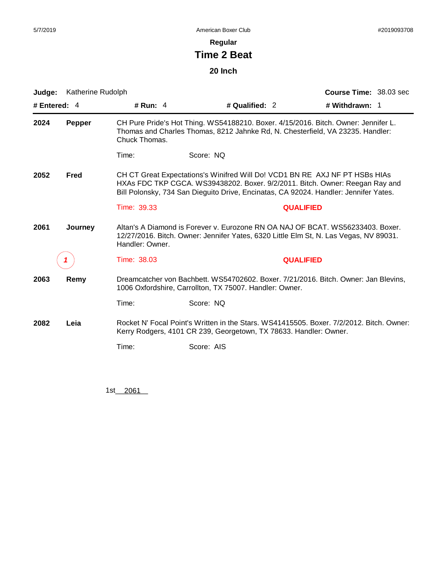### **Regular**

# **Time 2 Beat**

## **20 Inch**

| Judge:       | Katherine Rudolph |                                                                                                                                                                                            |                                                                                                                                                                                                                                                     | Course Time: 38.03 sec |  |  |
|--------------|-------------------|--------------------------------------------------------------------------------------------------------------------------------------------------------------------------------------------|-----------------------------------------------------------------------------------------------------------------------------------------------------------------------------------------------------------------------------------------------------|------------------------|--|--|
| # Entered: 4 |                   | # Run: $4$                                                                                                                                                                                 | # Qualified: 2                                                                                                                                                                                                                                      | # Withdrawn: 1         |  |  |
| 2024         | <b>Pepper</b>     | Chuck Thomas.                                                                                                                                                                              | CH Pure Pride's Hot Thing. WS54188210. Boxer. 4/15/2016. Bitch. Owner: Jennifer L.<br>Thomas and Charles Thomas, 8212 Jahnke Rd, N. Chesterfield, VA 23235. Handler:                                                                                |                        |  |  |
|              |                   | Time:                                                                                                                                                                                      | Score: NQ                                                                                                                                                                                                                                           |                        |  |  |
| 2052         | Fred              |                                                                                                                                                                                            | CH CT Great Expectations's Winifred Will Do! VCD1 BN RE AXJ NF PT HSBs HIAs<br>HXAs FDC TKP CGCA. WS39438202. Boxer. 9/2/2011. Bitch. Owner: Reegan Ray and<br>Bill Polonsky, 734 San Dieguito Drive, Encinatas, CA 92024. Handler: Jennifer Yates. |                        |  |  |
|              |                   | Time: 39.33                                                                                                                                                                                |                                                                                                                                                                                                                                                     | <b>QUALIFIED</b>       |  |  |
| 2061         | Journey           | Altan's A Diamond is Forever v. Eurozone RN OA NAJ OF BCAT. WS56233403. Boxer.<br>12/27/2016. Bitch. Owner: Jennifer Yates, 6320 Little Elm St, N. Las Vegas, NV 89031.<br>Handler: Owner. |                                                                                                                                                                                                                                                     |                        |  |  |
|              |                   | Time: 38.03                                                                                                                                                                                |                                                                                                                                                                                                                                                     | <b>QUALIFIED</b>       |  |  |
| 2063         | Remy              |                                                                                                                                                                                            | Dreamcatcher von Bachbett. WS54702602. Boxer. 7/21/2016. Bitch. Owner: Jan Blevins.<br>1006 Oxfordshire, Carrollton, TX 75007. Handler: Owner.                                                                                                      |                        |  |  |
|              |                   | Time:                                                                                                                                                                                      | Score: NQ                                                                                                                                                                                                                                           |                        |  |  |
| 2082         | Leia              |                                                                                                                                                                                            | Rocket N' Focal Point's Written in the Stars. WS41415505. Boxer. 7/2/2012. Bitch. Owner:<br>Kerry Rodgers, 4101 CR 239, Georgetown, TX 78633. Handler: Owner.                                                                                       |                        |  |  |
|              |                   | Time:                                                                                                                                                                                      | Score: AIS                                                                                                                                                                                                                                          |                        |  |  |
|              |                   |                                                                                                                                                                                            |                                                                                                                                                                                                                                                     |                        |  |  |

1st\_\_\_ 2061\_\_\_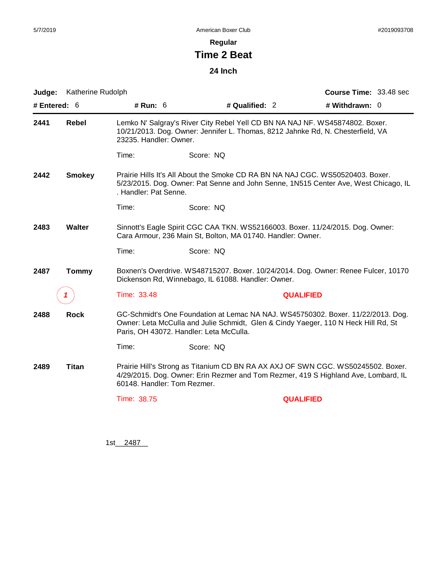## **Regular**

# **Time 2 Beat**

## **24 Inch**

| Judge:                                                         | Katherine Rudolph |                                                                                                                                               |                                                                                                                                                                        | Course Time: 33.48 sec |  |  |
|----------------------------------------------------------------|-------------------|-----------------------------------------------------------------------------------------------------------------------------------------------|------------------------------------------------------------------------------------------------------------------------------------------------------------------------|------------------------|--|--|
| # Entered: $6$                                                 |                   | # Run: $6$                                                                                                                                    | # Qualified: 2                                                                                                                                                         | # Withdrawn: $0$       |  |  |
| 2441                                                           | <b>Rebel</b>      | 23235. Handler: Owner.                                                                                                                        | Lemko N' Salgray's River City Rebel Yell CD BN NA NAJ NF. WS45874802. Boxer.<br>10/21/2013. Dog. Owner: Jennifer L. Thomas, 8212 Jahnke Rd, N. Chesterfield, VA        |                        |  |  |
|                                                                |                   | Time:                                                                                                                                         | Score: NQ                                                                                                                                                              |                        |  |  |
| 2442                                                           | <b>Smokey</b>     | . Handler: Pat Senne.                                                                                                                         | Prairie Hills It's All About the Smoke CD RA BN NA NAJ CGC. WS50520403. Boxer.<br>5/23/2015. Dog. Owner: Pat Senne and John Senne, 1N515 Center Ave, West Chicago, IL  |                        |  |  |
|                                                                |                   | Time:                                                                                                                                         | Score: NQ                                                                                                                                                              |                        |  |  |
| 2483                                                           | <b>Walter</b>     | Sinnott's Eagle Spirit CGC CAA TKN. WS52166003. Boxer. 11/24/2015. Dog. Owner:<br>Cara Armour, 236 Main St, Bolton, MA 01740. Handler: Owner. |                                                                                                                                                                        |                        |  |  |
|                                                                |                   | Time:                                                                                                                                         | Score: NQ                                                                                                                                                              |                        |  |  |
| 2487                                                           | <b>Tommy</b>      |                                                                                                                                               | Boxnen's Overdrive. WS48715207. Boxer. 10/24/2014. Dog. Owner: Renee Fulcer, 10170<br>Dickenson Rd, Winnebago, IL 61088. Handler: Owner.                               |                        |  |  |
|                                                                |                   | Time: 33.48                                                                                                                                   |                                                                                                                                                                        | <b>QUALIFIED</b>       |  |  |
| <b>Rock</b><br>2488<br>Paris, OH 43072. Handler: Leta McCulla. |                   |                                                                                                                                               | GC-Schmidt's One Foundation at Lemac NA NAJ. WS45750302. Boxer. 11/22/2013. Dog.<br>Owner: Leta McCulla and Julie Schmidt, Glen & Cindy Yaeger, 110 N Heck Hill Rd, St |                        |  |  |
|                                                                |                   | Time:                                                                                                                                         | Score: NQ                                                                                                                                                              |                        |  |  |
| 2489                                                           | Titan             | 60148. Handler: Tom Rezmer.                                                                                                                   | Prairie Hill's Strong as Titanium CD BN RA AX AXJ OF SWN CGC. WS50245502. Boxer.<br>4/29/2015. Dog. Owner: Erin Rezmer and Tom Rezmer, 419 S Highland Ave, Lombard, IL |                        |  |  |
|                                                                |                   | Time: 38.75                                                                                                                                   |                                                                                                                                                                        | <b>QUALIFIED</b>       |  |  |
|                                                                |                   |                                                                                                                                               |                                                                                                                                                                        |                        |  |  |

1st\_\_\_ 2487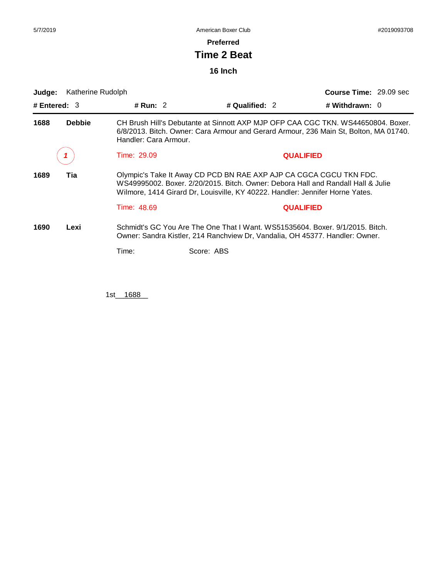#### **Preferred**

# **Time 2 Beat**

## **16 Inch**

| Judge:         | Katherine Rudolph |                       |                                                                                                                                                                                                                                         |                  | <b>Course Time: 29.09 sec</b>                                                    |  |
|----------------|-------------------|-----------------------|-----------------------------------------------------------------------------------------------------------------------------------------------------------------------------------------------------------------------------------------|------------------|----------------------------------------------------------------------------------|--|
| # Entered: $3$ |                   | # Run: $2$            | # Qualified: 2                                                                                                                                                                                                                          |                  | # Withdrawn: $0$                                                                 |  |
| 1688           | <b>Debbie</b>     | Handler: Cara Armour. | 6/8/2013. Bitch. Owner: Cara Armour and Gerard Armour, 236 Main St, Bolton, MA 01740.                                                                                                                                                   |                  | CH Brush Hill's Debutante at Sinnott AXP MJP OFP CAA CGC TKN, WS44650804, Boxer, |  |
|                |                   | Time: 29.09           |                                                                                                                                                                                                                                         | <b>QUALIFIED</b> |                                                                                  |  |
| 1689           | Tia               |                       | Olympic's Take It Away CD PCD BN RAE AXP AJP CA CGCA CGCU TKN FDC.<br>WS49995002, Boxer, 2/20/2015, Bitch, Owner: Debora Hall and Randall Hall & Julie<br>Wilmore, 1414 Girard Dr, Louisville, KY 40222. Handler: Jennifer Horne Yates. |                  |                                                                                  |  |
|                |                   | Time: 48.69           |                                                                                                                                                                                                                                         | <b>QUALIFIED</b> |                                                                                  |  |
| 1690           | Lexi              |                       | Schmidt's GC You Are The One That I Want. WS51535604. Boxer. 9/1/2015. Bitch.<br>Owner: Sandra Kistler, 214 Ranchview Dr, Vandalia, OH 45377. Handler: Owner.                                                                           |                  |                                                                                  |  |
|                |                   | Time:                 | Score: ABS                                                                                                                                                                                                                              |                  |                                                                                  |  |

1st\_1688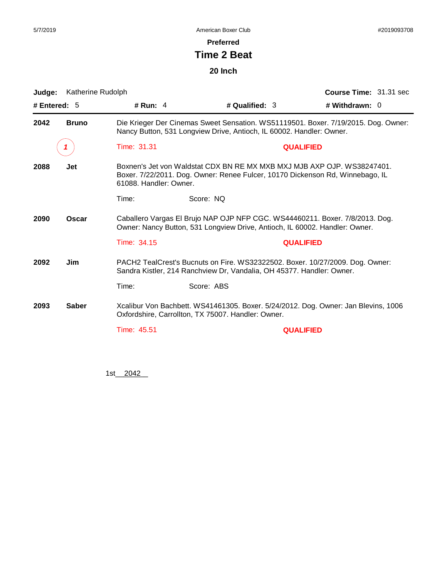**Preferred**

# **Time 2 Beat**

## **20 Inch**

| Judge:                                                                                                                                                                              | Katherine Rudolph |                                                                                                                                                                                    |                                                                      |                | Course Time: 31.31 sec                                                                                                                                 |  |
|-------------------------------------------------------------------------------------------------------------------------------------------------------------------------------------|-------------------|------------------------------------------------------------------------------------------------------------------------------------------------------------------------------------|----------------------------------------------------------------------|----------------|--------------------------------------------------------------------------------------------------------------------------------------------------------|--|
| # Entered: $5$                                                                                                                                                                      |                   | # Run: $4$                                                                                                                                                                         |                                                                      | # Qualified: 3 | # Withdrawn: 0                                                                                                                                         |  |
| 2042                                                                                                                                                                                | <b>Bruno</b>      |                                                                                                                                                                                    | Nancy Button, 531 Longview Drive, Antioch, IL 60002. Handler: Owner. |                | Die Krieger Der Cinemas Sweet Sensation. WS51119501. Boxer. 7/19/2015. Dog. Owner:                                                                     |  |
|                                                                                                                                                                                     |                   | Time: 31.31                                                                                                                                                                        |                                                                      |                | <b>QUALIFIED</b>                                                                                                                                       |  |
| 2088                                                                                                                                                                                | <b>Jet</b>        | Boxnen's Jet von Waldstat CDX BN RE MX MXB MXJ MJB AXP OJP. WS38247401.<br>Boxer. 7/22/2011. Dog. Owner: Renee Fulcer, 10170 Dickenson Rd, Winnebago, IL<br>61088. Handler: Owner. |                                                                      |                |                                                                                                                                                        |  |
|                                                                                                                                                                                     |                   | Time:                                                                                                                                                                              | Score: NQ                                                            |                |                                                                                                                                                        |  |
| Caballero Vargas El Brujo NAP OJP NFP CGC. WS44460211. Boxer. 7/8/2013. Dog.<br><b>Oscar</b><br>2090<br>Owner: Nancy Button, 531 Longview Drive, Antioch, IL 60002. Handler: Owner. |                   |                                                                                                                                                                                    |                                                                      |                |                                                                                                                                                        |  |
|                                                                                                                                                                                     |                   | Time: 34.15                                                                                                                                                                        |                                                                      |                | <b>QUALIFIED</b>                                                                                                                                       |  |
| 2092                                                                                                                                                                                | Jim               |                                                                                                                                                                                    |                                                                      |                | PACH2 TealCrest's Bucnuts on Fire. WS32322502. Boxer. 10/27/2009. Dog. Owner:<br>Sandra Kistler, 214 Ranchview Dr, Vandalia, OH 45377. Handler: Owner. |  |
|                                                                                                                                                                                     |                   | Time:                                                                                                                                                                              | Score: ABS                                                           |                |                                                                                                                                                        |  |
| <b>Saber</b><br>2093<br>Xcalibur Von Bachbett. WS41461305. Boxer. 5/24/2012. Dog. Owner: Jan Blevins, 1006<br>Oxfordshire, Carrollton, TX 75007. Handler: Owner.                    |                   |                                                                                                                                                                                    |                                                                      |                |                                                                                                                                                        |  |
|                                                                                                                                                                                     |                   | Time: 45.51                                                                                                                                                                        |                                                                      |                | <b>QUALIFIED</b>                                                                                                                                       |  |
|                                                                                                                                                                                     |                   |                                                                                                                                                                                    |                                                                      |                |                                                                                                                                                        |  |
|                                                                                                                                                                                     |                   |                                                                                                                                                                                    |                                                                      |                |                                                                                                                                                        |  |

1st\_\_\_ 2042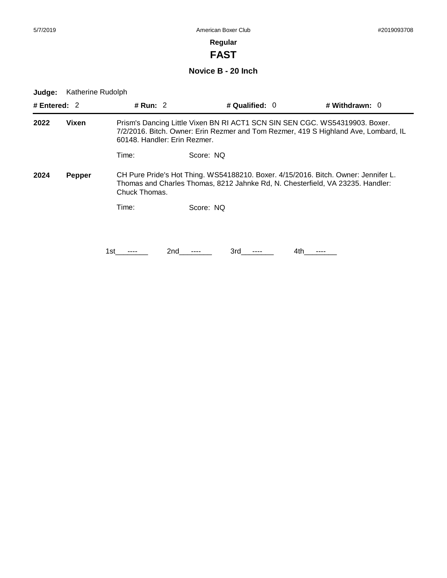**FAST**

**Novice B - 20 Inch**

| # Entered: $2$        |       | # Run: $2$                                                                                                                                                                                         |           | # Qualified: $0$ | # Withdrawn: $0$                                                                                                                                                     |  |
|-----------------------|-------|----------------------------------------------------------------------------------------------------------------------------------------------------------------------------------------------------|-----------|------------------|----------------------------------------------------------------------------------------------------------------------------------------------------------------------|--|
| 2022                  | Vixen | Prism's Dancing Little Vixen BN RI ACT1 SCN SIN SEN CGC. WS54319903. Boxer.<br>7/2/2016. Bitch. Owner: Erin Rezmer and Tom Rezmer, 419 S Highland Ave, Lombard, IL<br>60148. Handler: Erin Rezmer. |           |                  |                                                                                                                                                                      |  |
|                       |       | Time:                                                                                                                                                                                              | Score: NO |                  |                                                                                                                                                                      |  |
| 2024<br><b>Pepper</b> |       | Chuck Thomas.                                                                                                                                                                                      |           |                  | CH Pure Pride's Hot Thing. WS54188210. Boxer. 4/15/2016. Bitch. Owner: Jennifer L.<br>Thomas and Charles Thomas, 8212 Jahnke Rd, N. Chesterfield, VA 23235. Handler: |  |
|                       |       | Time:                                                                                                                                                                                              | Score: NQ |                  |                                                                                                                                                                      |  |
|                       |       |                                                                                                                                                                                                    |           |                  |                                                                                                                                                                      |  |
|                       |       | 1st                                                                                                                                                                                                | 2nd       | 3rd.             | 4th                                                                                                                                                                  |  |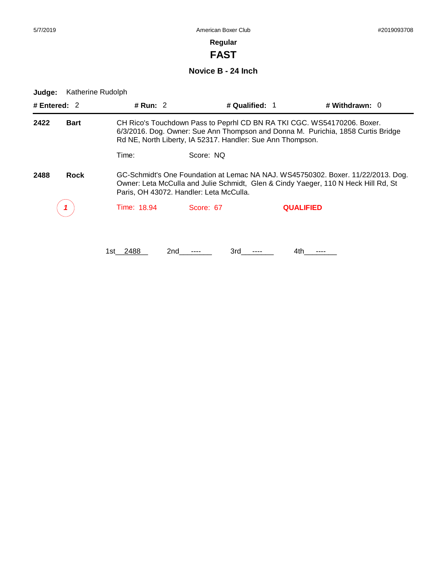# **FAST**

**Novice B - 24 Inch**

**Judge:** Katherine Rudolph

| # Entered: $2$      |  | # Run: $2$                                                                                                                                                                                                                |                                         | # Qualified: 1   | # Withdrawn: $0$                                                                                                                                                       |  |
|---------------------|--|---------------------------------------------------------------------------------------------------------------------------------------------------------------------------------------------------------------------------|-----------------------------------------|------------------|------------------------------------------------------------------------------------------------------------------------------------------------------------------------|--|
| 2422<br><b>Bart</b> |  | CH Rico's Touchdown Pass to Peprhl CD BN RA TKI CGC. WS54170206. Boxer.<br>6/3/2016. Dog. Owner: Sue Ann Thompson and Donna M. Purichia, 1858 Curtis Bridge<br>Rd NE, North Liberty, IA 52317. Handler: Sue Ann Thompson. |                                         |                  |                                                                                                                                                                        |  |
|                     |  | Time:                                                                                                                                                                                                                     | Score: NO                               |                  |                                                                                                                                                                        |  |
| <b>Rock</b><br>2488 |  |                                                                                                                                                                                                                           | Paris, OH 43072. Handler: Leta McCulla. |                  | GC-Schmidt's One Foundation at Lemac NA NAJ. WS45750302. Boxer. 11/22/2013. Dog.<br>Owner: Leta McCulla and Julie Schmidt, Glen & Cindy Yaeger, 110 N Heck Hill Rd, St |  |
|                     |  | Time: 18.94                                                                                                                                                                                                               | Score: 67                               | <b>QUALIFIED</b> |                                                                                                                                                                        |  |
|                     |  |                                                                                                                                                                                                                           |                                         |                  |                                                                                                                                                                        |  |

1st\_\_2488 2nd\_\_\_\_\_\_ 3rd\_\_\_\_\_\_ 4th\_\_\_\_\_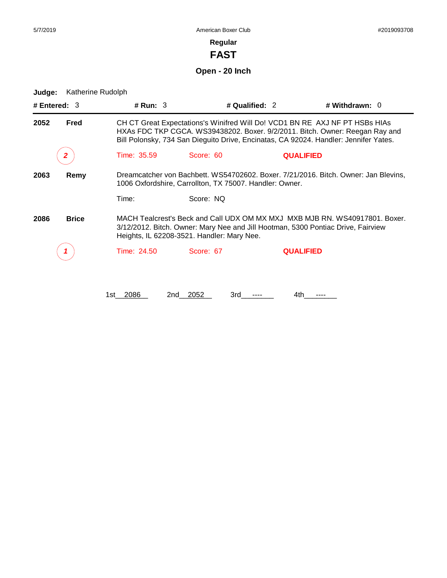**FAST**

# **Open - 20 Inch**

| # Entered: 3 |              | # $Run: 3$   |                                                                                                                                                                                                               | # Qualified: 2   | # Withdrawn: 0                                                                                                                                                                                                                                      |  |  |
|--------------|--------------|--------------|---------------------------------------------------------------------------------------------------------------------------------------------------------------------------------------------------------------|------------------|-----------------------------------------------------------------------------------------------------------------------------------------------------------------------------------------------------------------------------------------------------|--|--|
| 2052         | Fred         |              |                                                                                                                                                                                                               |                  | CH CT Great Expectations's Winifred Will Do! VCD1 BN RE AXJ NF PT HSBs HIAs<br>HXAs FDC TKP CGCA. WS39438202. Boxer. 9/2/2011. Bitch. Owner: Reegan Ray and<br>Bill Polonsky, 734 San Dieguito Drive, Encinatas, CA 92024. Handler: Jennifer Yates. |  |  |
|              | 2            | Time: 35.59  | Score: 60                                                                                                                                                                                                     | <b>QUALIFIED</b> |                                                                                                                                                                                                                                                     |  |  |
| 2063         | Remy         |              | 1006 Oxfordshire, Carrollton, TX 75007. Handler: Owner.                                                                                                                                                       |                  | Dreamcatcher von Bachbett. WS54702602. Boxer. 7/21/2016. Bitch. Owner: Jan Blevins,                                                                                                                                                                 |  |  |
|              |              | Time:        | Score: NQ                                                                                                                                                                                                     |                  |                                                                                                                                                                                                                                                     |  |  |
| 2086         | <b>Brice</b> |              | MACH Tealcrest's Beck and Call UDX OM MX MXJ MXB MJB RN. WS40917801. Boxer.<br>3/12/2012. Bitch. Owner: Mary Nee and Jill Hootman, 5300 Pontiac Drive, Fairview<br>Heights, IL 62208-3521. Handler: Mary Nee. |                  |                                                                                                                                                                                                                                                     |  |  |
|              |              | Time: 24.50  | Score: 67                                                                                                                                                                                                     | <b>QUALIFIED</b> |                                                                                                                                                                                                                                                     |  |  |
|              |              | 2086<br>1st. | 2052<br>3rd<br>2nd                                                                                                                                                                                            | 4th              |                                                                                                                                                                                                                                                     |  |  |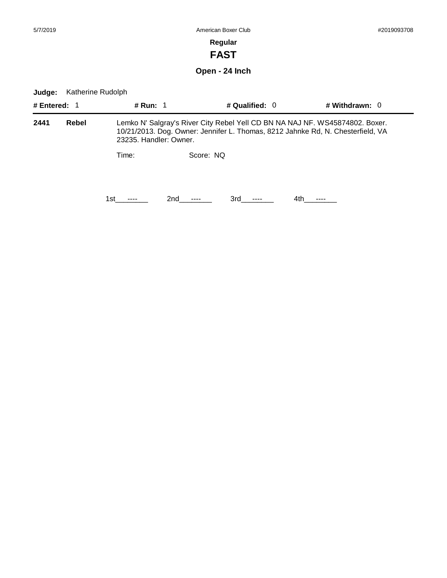**FAST**

**Open - 24 Inch**

| # Entered: 1 |       | <b># Run: 1</b> |                        | # Qualified: 0                                                                                                                                                  |      | # Withdrawn: $0$ |
|--------------|-------|-----------------|------------------------|-----------------------------------------------------------------------------------------------------------------------------------------------------------------|------|------------------|
| 2441         | Rebel |                 | 23235. Handler: Owner. | Lemko N' Salgray's River City Rebel Yell CD BN NA NAJ NF. WS45874802. Boxer.<br>10/21/2013. Dog. Owner: Jennifer L. Thomas, 8212 Jahnke Rd, N. Chesterfield, VA |      |                  |
|              |       | Time:           | Score: NQ              |                                                                                                                                                                 |      |                  |
|              |       | 1st.            | 2nd                    | 3rd                                                                                                                                                             | 4th. |                  |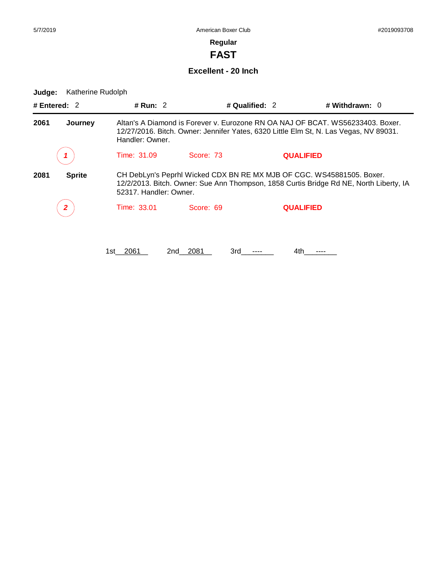**FAST**

**Excellent - 20 Inch**

| # Entered: $2$  |               | # Run: $2$                                                                                                                                                                                 |                                                                                                                                                                                           | # Qualified: 2   | # Withdrawn: 0 |  |  |
|-----------------|---------------|--------------------------------------------------------------------------------------------------------------------------------------------------------------------------------------------|-------------------------------------------------------------------------------------------------------------------------------------------------------------------------------------------|------------------|----------------|--|--|
| 2061<br>Journey |               | Altan's A Diamond is Forever v. Eurozone RN OA NAJ OF BCAT, WS56233403, Boxer,<br>12/27/2016. Bitch. Owner: Jennifer Yates, 6320 Little Elm St, N. Las Vegas, NV 89031.<br>Handler: Owner. |                                                                                                                                                                                           |                  |                |  |  |
|                 |               | Time: 31.09                                                                                                                                                                                | Score: 73                                                                                                                                                                                 | <b>QUALIFIED</b> |                |  |  |
| 2081            | <b>Sprite</b> |                                                                                                                                                                                            | CH DebLyn's Peprhl Wicked CDX BN RE MX MJB OF CGC. WS45881505. Boxer.<br>12/2/2013. Bitch. Owner: Sue Ann Thompson, 1858 Curtis Bridge Rd NE, North Liberty, IA<br>52317. Handler: Owner. |                  |                |  |  |
|                 |               | Time: 33.01                                                                                                                                                                                | Score: 69                                                                                                                                                                                 | <b>QUALIFIED</b> |                |  |  |
|                 |               | 2061<br>1st                                                                                                                                                                                | 2081<br>3rd<br>2nd                                                                                                                                                                        | 4th              |                |  |  |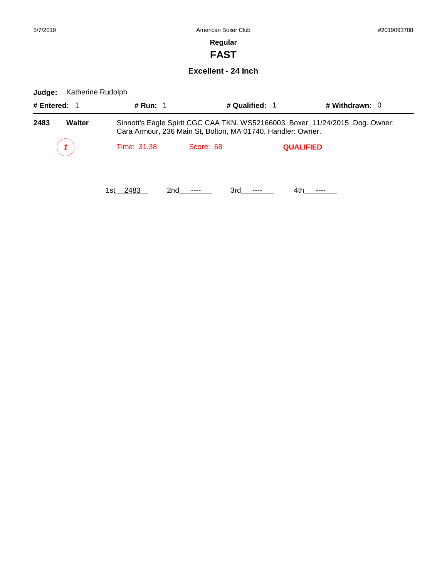-

## **Regular**

**FAST**

**Excellent - 24 Inch**

| # Entered: 1          |  | # Run: 1                                                                                                                                      |           | # Qualified: 1   | # Withdrawn: $0$ |  |
|-----------------------|--|-----------------------------------------------------------------------------------------------------------------------------------------------|-----------|------------------|------------------|--|
| <b>Walter</b><br>2483 |  | Sinnott's Eagle Spirit CGC CAA TKN. WS52166003. Boxer. 11/24/2015. Dog. Owner:<br>Cara Armour, 236 Main St, Bolton, MA 01740. Handler: Owner. |           |                  |                  |  |
|                       |  | Time: 31.38                                                                                                                                   | Score: 68 | <b>QUALIFIED</b> |                  |  |
|                       |  | 1st 2483                                                                                                                                      | 2nd       | 3rd              | 4th              |  |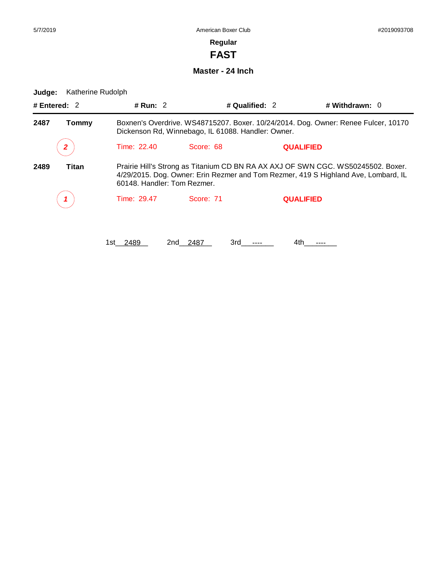**FAST**

**Master - 24 Inch**

| # Entered: $2$ | # Run: $2$   |                                                                                                                                                                                                       | # Qualified: 2   | # Withdrawn: $0$ |  |  |
|----------------|--------------|-------------------------------------------------------------------------------------------------------------------------------------------------------------------------------------------------------|------------------|------------------|--|--|
| 2487<br>Tommy  |              | Boxnen's Overdrive. WS48715207. Boxer. 10/24/2014. Dog. Owner: Renee Fulcer, 10170<br>Dickenson Rd, Winnebago, IL 61088. Handler: Owner.                                                              |                  |                  |  |  |
| 2              | Time: 22.40  | Score: 68                                                                                                                                                                                             | <b>QUALIFIED</b> |                  |  |  |
| 2489<br>Titan  |              | Prairie Hill's Strong as Titanium CD BN RA AX AXJ OF SWN CGC. WS50245502. Boxer.<br>4/29/2015. Dog. Owner: Erin Rezmer and Tom Rezmer, 419 S Highland Ave, Lombard, IL<br>60148. Handler: Tom Rezmer. |                  |                  |  |  |
|                | Time: 29.47  | Score: 71                                                                                                                                                                                             | <b>QUALIFIED</b> |                  |  |  |
|                | 2489<br>1st. | 2487<br>3rd<br>2nd                                                                                                                                                                                    | 4th              |                  |  |  |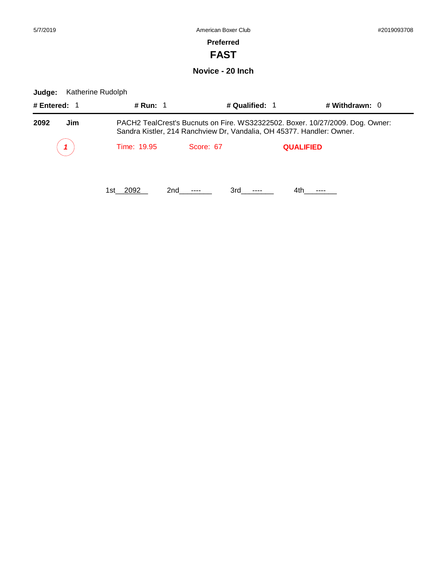۰

# **Preferred**

**FAST**

**Novice - 20 Inch**

| # Entered: 1 | <b># Run: 1</b>                                                                                                                                        |                               | # Qualified: 1 | # Withdrawn: $0$ |  |
|--------------|--------------------------------------------------------------------------------------------------------------------------------------------------------|-------------------------------|----------------|------------------|--|
| 2092<br>Jim  | PACH2 TealCrest's Bucnuts on Fire. WS32322502. Boxer. 10/27/2009. Dog. Owner:<br>Sandra Kistler, 214 Ranchview Dr, Vandalia, OH 45377. Handler: Owner. |                               |                |                  |  |
|              | Time: 19.95                                                                                                                                            | Score: 67<br><b>QUALIFIED</b> |                |                  |  |
|              | 1st 2092                                                                                                                                               | 2nd<br>3rd                    | 4th            |                  |  |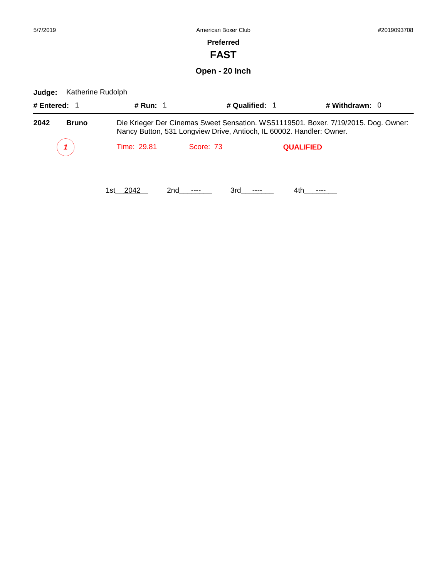# **FAST**

# **Open - 20 Inch**

| # Entered: 1         | # Run: 1    | # Qualified: 1                                                                                                                                             |                  | # Withdrawn: $0$ |  |  |
|----------------------|-------------|------------------------------------------------------------------------------------------------------------------------------------------------------------|------------------|------------------|--|--|
| 2042<br><b>Bruno</b> |             | Die Krieger Der Cinemas Sweet Sensation. WS51119501. Boxer. 7/19/2015. Dog. Owner:<br>Nancy Button, 531 Longview Drive, Antioch, IL 60002. Handler: Owner. |                  |                  |  |  |
|                      | Time: 29.81 | Score: 73                                                                                                                                                  | <b>QUALIFIED</b> |                  |  |  |
|                      | 1st 2042    | 3rd a<br>2nd ----                                                                                                                                          | 4th.             |                  |  |  |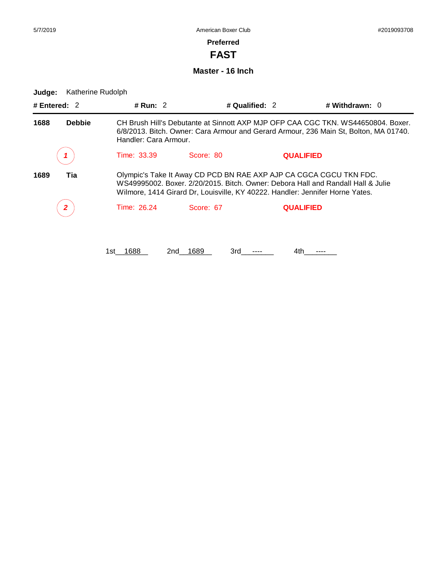**FAST**

**Master - 16 Inch**

| # Entered: $2$        | # Run: $2$                                                                                                                                                                                                                              |                    | # Qualified: 2   | # Withdrawn: $0$ |  |
|-----------------------|-----------------------------------------------------------------------------------------------------------------------------------------------------------------------------------------------------------------------------------------|--------------------|------------------|------------------|--|
| 1688<br><b>Debbie</b> | CH Brush Hill's Debutante at Sinnott AXP MJP OFP CAA CGC TKN, WS44650804, Boxer,<br>6/8/2013. Bitch. Owner: Cara Armour and Gerard Armour, 236 Main St, Bolton, MA 01740.<br>Handler: Cara Armour.                                      |                    |                  |                  |  |
|                       | Time: 33.39                                                                                                                                                                                                                             | Score: 80          | <b>QUALIFIED</b> |                  |  |
| 1689<br>Tia           | Olympic's Take It Away CD PCD BN RAE AXP AJP CA CGCA CGCU TKN FDC.<br>WS49995002, Boxer, 2/20/2015, Bitch, Owner: Debora Hall and Randall Hall & Julie<br>Wilmore, 1414 Girard Dr, Louisville, KY 40222. Handler: Jennifer Horne Yates. |                    |                  |                  |  |
| $\mathbf{2}$          | Time: 26.24                                                                                                                                                                                                                             | Score: 67          | <b>QUALIFIED</b> |                  |  |
|                       | 1688<br>1st                                                                                                                                                                                                                             | 1689<br>3rd<br>2nd | 4th              |                  |  |